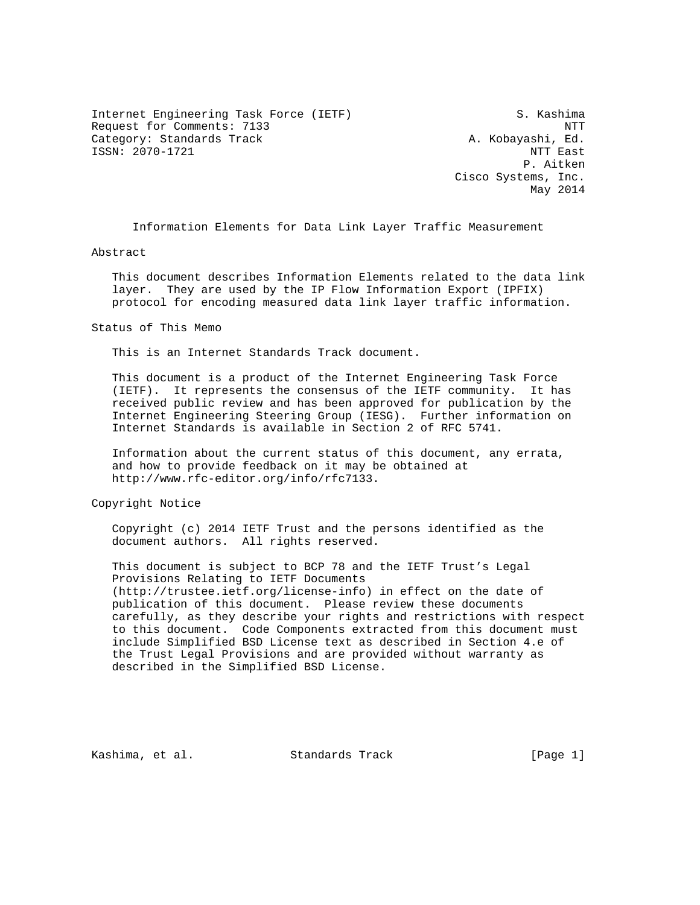Internet Engineering Task Force (IETF) S. Kashima Request for Comments: 7133 NTT Category: Standards Track A. Kobayashi, Ed. ISSN: 2070-1721 NTT East

 P. Aitken Cisco Systems, Inc. May 2014

Information Elements for Data Link Layer Traffic Measurement

Abstract

 This document describes Information Elements related to the data link layer. They are used by the IP Flow Information Export (IPFIX) protocol for encoding measured data link layer traffic information.

Status of This Memo

This is an Internet Standards Track document.

 This document is a product of the Internet Engineering Task Force (IETF). It represents the consensus of the IETF community. It has received public review and has been approved for publication by the Internet Engineering Steering Group (IESG). Further information on Internet Standards is available in Section 2 of RFC 5741.

 Information about the current status of this document, any errata, and how to provide feedback on it may be obtained at http://www.rfc-editor.org/info/rfc7133.

Copyright Notice

 Copyright (c) 2014 IETF Trust and the persons identified as the document authors. All rights reserved.

 This document is subject to BCP 78 and the IETF Trust's Legal Provisions Relating to IETF Documents (http://trustee.ietf.org/license-info) in effect on the date of publication of this document. Please review these documents carefully, as they describe your rights and restrictions with respect to this document. Code Components extracted from this document must include Simplified BSD License text as described in Section 4.e of the Trust Legal Provisions and are provided without warranty as described in the Simplified BSD License.

Kashima, et al. Standards Track [Page 1]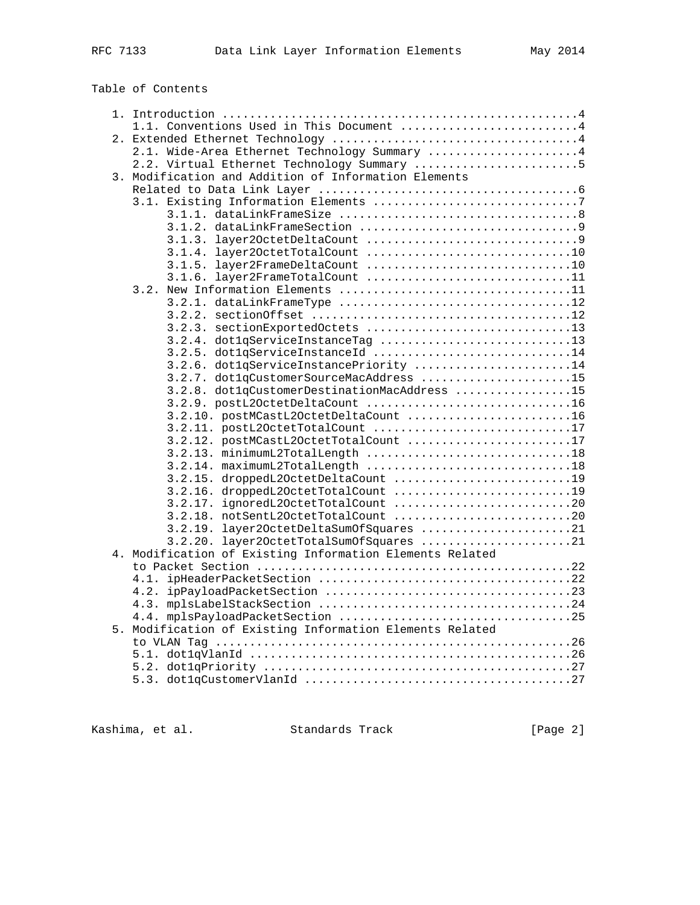# Table of Contents

|  | 1.1. Conventions Used in This Document 4                 |  |
|--|----------------------------------------------------------|--|
|  |                                                          |  |
|  | 2.1. Wide-Area Ethernet Technology Summary  4            |  |
|  | 2.2. Virtual Ethernet Technology Summary 5               |  |
|  | 3. Modification and Addition of Information Elements     |  |
|  |                                                          |  |
|  |                                                          |  |
|  |                                                          |  |
|  |                                                          |  |
|  |                                                          |  |
|  |                                                          |  |
|  |                                                          |  |
|  | 3.1.6. layer2FrameTotalCount 11                          |  |
|  |                                                          |  |
|  | 3.2.1. dataLinkFrameType 12                              |  |
|  |                                                          |  |
|  | 3.2.3. sectionExportedOctets 13                          |  |
|  | 3.2.4. dot1qServiceInstanceTag 13                        |  |
|  | 3.2.5. dot1qServiceInstanceId 14                         |  |
|  | 3.2.6. dot1qServiceInstancePriority 14                   |  |
|  | 3.2.7. dot1qCustomerSourceMacAddress 15                  |  |
|  | 3.2.8. dot1qCustomerDestinationMacAddress 15             |  |
|  | 3.2.9. postL2OctetDeltaCount 16                          |  |
|  | 3.2.10. postMCastL2OctetDeltaCount 16                    |  |
|  | 3.2.11. postL20ctetTotalCount 17                         |  |
|  | 3.2.12. postMCastL2OctetTotalCount 17                    |  |
|  | 3.2.13. minimumL2TotalLength 18                          |  |
|  |                                                          |  |
|  | 3.2.15. droppedL2OctetDeltaCount 19                      |  |
|  | 3.2.16. droppedL2OctetTotalCount 19                      |  |
|  | 3.2.17. ignoredL20ctetTotalCount 20                      |  |
|  | 3.2.18. notSentL2OctetTotalCount 20                      |  |
|  | 3.2.19. layer20ctetDeltaSumOfSquares 21                  |  |
|  | 3.2.20. layer2OctetTotalSumOfSquares 21                  |  |
|  | 4. Modification of Existing Information Elements Related |  |
|  |                                                          |  |
|  |                                                          |  |
|  |                                                          |  |
|  |                                                          |  |
|  | 5. Modification of Existing Information Elements Related |  |
|  |                                                          |  |
|  |                                                          |  |
|  |                                                          |  |
|  |                                                          |  |
|  |                                                          |  |

Kashima, et al. Standards Track [Page 2]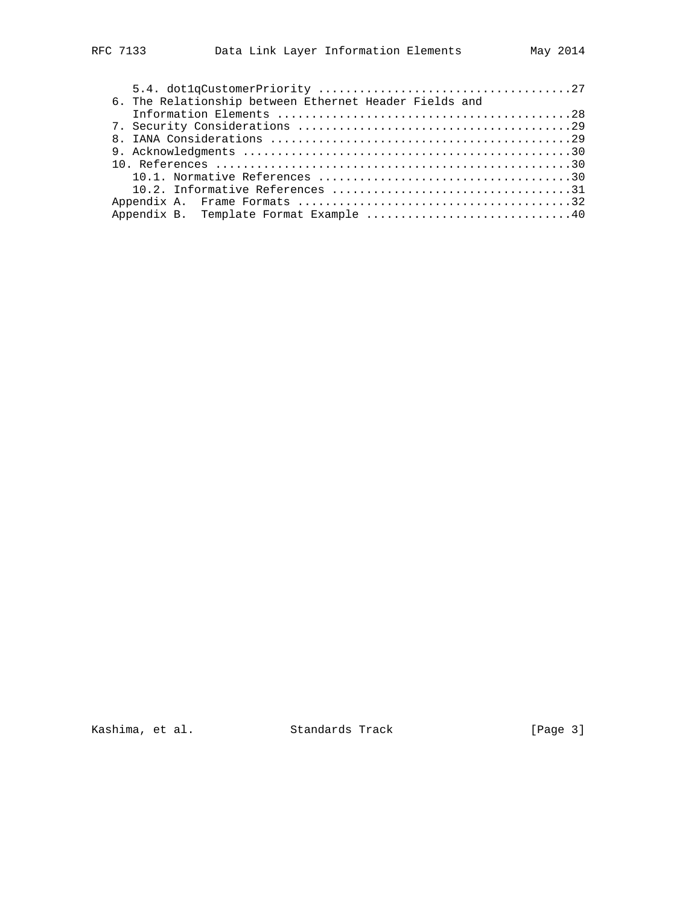| 6. The Relationship between Ethernet Header Fields and |  |
|--------------------------------------------------------|--|
|                                                        |  |
|                                                        |  |
|                                                        |  |
|                                                        |  |
|                                                        |  |
|                                                        |  |
|                                                        |  |
|                                                        |  |
|                                                        |  |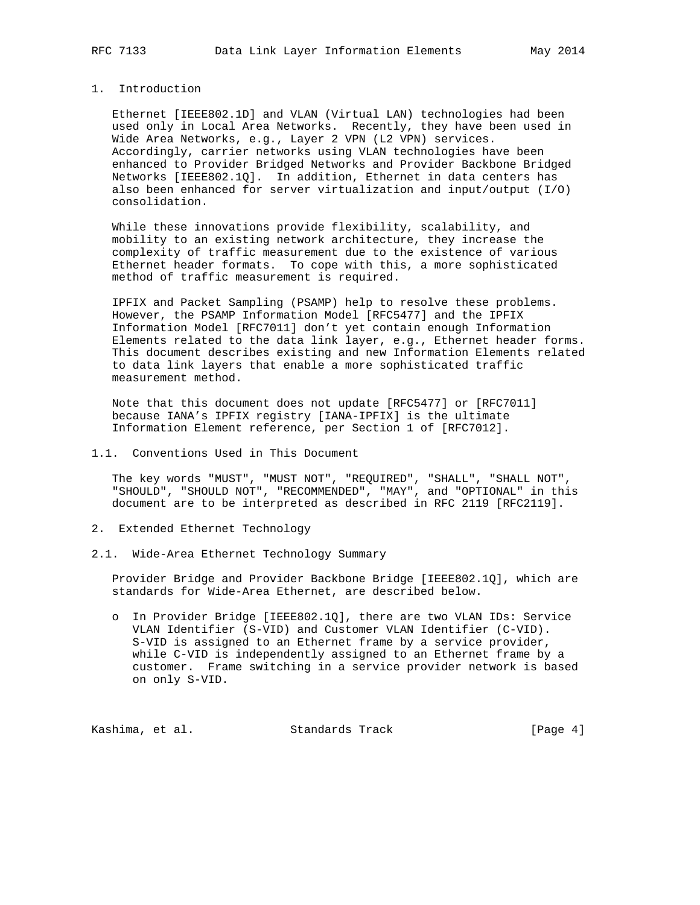## 1. Introduction

 Ethernet [IEEE802.1D] and VLAN (Virtual LAN) technologies had been used only in Local Area Networks. Recently, they have been used in Wide Area Networks, e.g., Layer 2 VPN (L2 VPN) services. Accordingly, carrier networks using VLAN technologies have been enhanced to Provider Bridged Networks and Provider Backbone Bridged Networks [IEEE802.1Q]. In addition, Ethernet in data centers has also been enhanced for server virtualization and input/output (I/O) consolidation.

 While these innovations provide flexibility, scalability, and mobility to an existing network architecture, they increase the complexity of traffic measurement due to the existence of various Ethernet header formats. To cope with this, a more sophisticated method of traffic measurement is required.

 IPFIX and Packet Sampling (PSAMP) help to resolve these problems. However, the PSAMP Information Model [RFC5477] and the IPFIX Information Model [RFC7011] don't yet contain enough Information Elements related to the data link layer, e.g., Ethernet header forms. This document describes existing and new Information Elements related to data link layers that enable a more sophisticated traffic measurement method.

 Note that this document does not update [RFC5477] or [RFC7011] because IANA's IPFIX registry [IANA-IPFIX] is the ultimate Information Element reference, per Section 1 of [RFC7012].

1.1. Conventions Used in This Document

 The key words "MUST", "MUST NOT", "REQUIRED", "SHALL", "SHALL NOT", "SHOULD", "SHOULD NOT", "RECOMMENDED", "MAY", and "OPTIONAL" in this document are to be interpreted as described in RFC 2119 [RFC2119].

- 2. Extended Ethernet Technology
- 2.1. Wide-Area Ethernet Technology Summary

 Provider Bridge and Provider Backbone Bridge [IEEE802.1Q], which are standards for Wide-Area Ethernet, are described below.

 o In Provider Bridge [IEEE802.1Q], there are two VLAN IDs: Service VLAN Identifier (S-VID) and Customer VLAN Identifier (C-VID). S-VID is assigned to an Ethernet frame by a service provider, while C-VID is independently assigned to an Ethernet frame by a customer. Frame switching in a service provider network is based on only S-VID.

Kashima, et al. Standards Track [Page 4]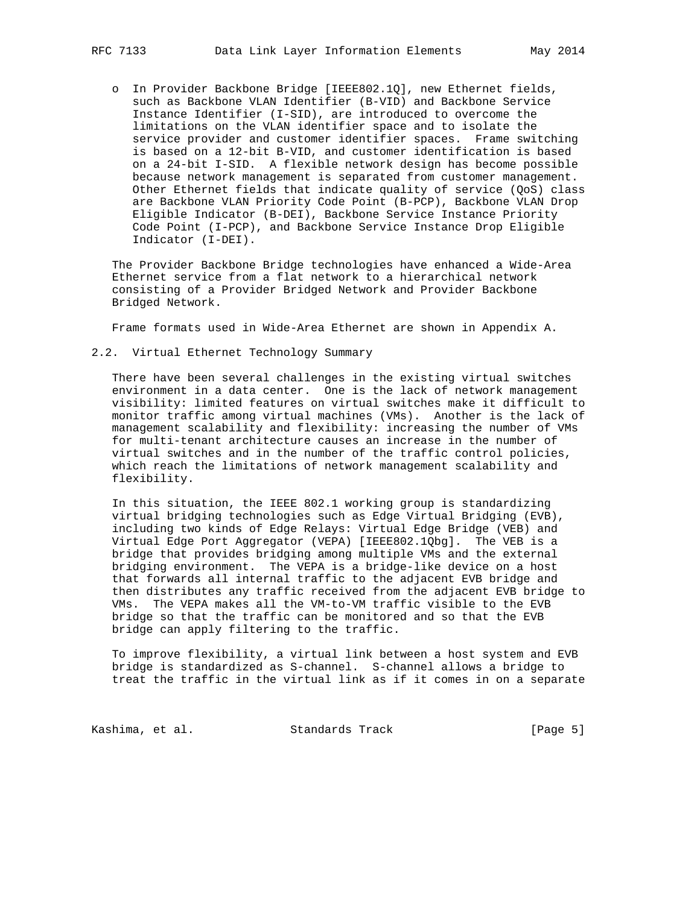o In Provider Backbone Bridge [IEEE802.1Q], new Ethernet fields, such as Backbone VLAN Identifier (B-VID) and Backbone Service Instance Identifier (I-SID), are introduced to overcome the limitations on the VLAN identifier space and to isolate the service provider and customer identifier spaces. Frame switching is based on a 12-bit B-VID, and customer identification is based on a 24-bit I-SID. A flexible network design has become possible because network management is separated from customer management. Other Ethernet fields that indicate quality of service (QoS) class are Backbone VLAN Priority Code Point (B-PCP), Backbone VLAN Drop Eligible Indicator (B-DEI), Backbone Service Instance Priority Code Point (I-PCP), and Backbone Service Instance Drop Eligible Indicator (I-DEI).

 The Provider Backbone Bridge technologies have enhanced a Wide-Area Ethernet service from a flat network to a hierarchical network consisting of a Provider Bridged Network and Provider Backbone Bridged Network.

Frame formats used in Wide-Area Ethernet are shown in Appendix A.

2.2. Virtual Ethernet Technology Summary

 There have been several challenges in the existing virtual switches environment in a data center. One is the lack of network management visibility: limited features on virtual switches make it difficult to monitor traffic among virtual machines (VMs). Another is the lack of management scalability and flexibility: increasing the number of VMs for multi-tenant architecture causes an increase in the number of virtual switches and in the number of the traffic control policies, which reach the limitations of network management scalability and flexibility.

 In this situation, the IEEE 802.1 working group is standardizing virtual bridging technologies such as Edge Virtual Bridging (EVB), including two kinds of Edge Relays: Virtual Edge Bridge (VEB) and Virtual Edge Port Aggregator (VEPA) [IEEE802.1Qbg]. The VEB is a bridge that provides bridging among multiple VMs and the external bridging environment. The VEPA is a bridge-like device on a host that forwards all internal traffic to the adjacent EVB bridge and then distributes any traffic received from the adjacent EVB bridge to VMs. The VEPA makes all the VM-to-VM traffic visible to the EVB bridge so that the traffic can be monitored and so that the EVB bridge can apply filtering to the traffic.

 To improve flexibility, a virtual link between a host system and EVB bridge is standardized as S-channel. S-channel allows a bridge to treat the traffic in the virtual link as if it comes in on a separate

Kashima, et al. Standards Track [Page 5]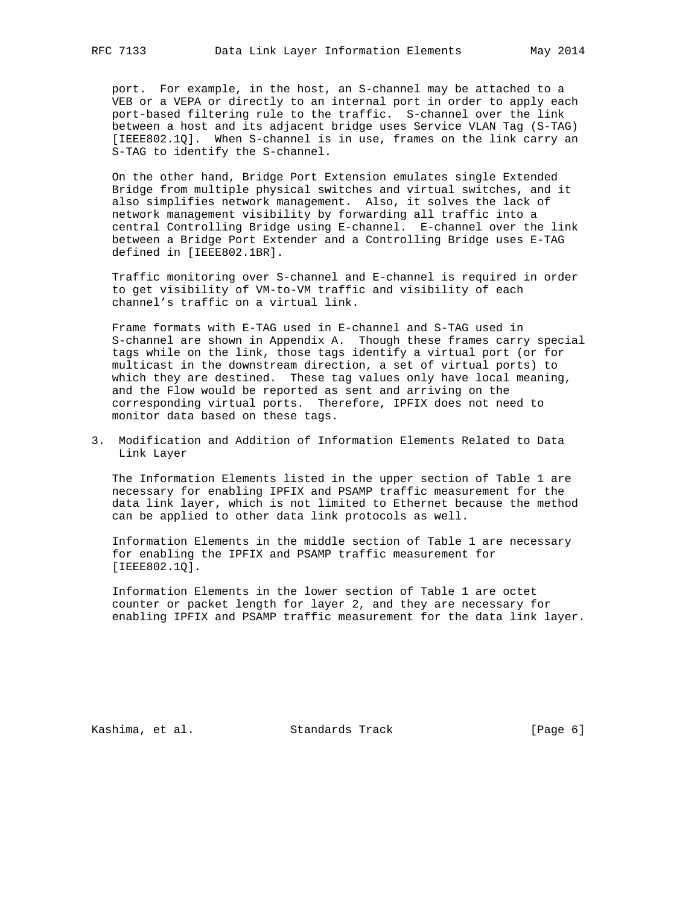port. For example, in the host, an S-channel may be attached to a VEB or a VEPA or directly to an internal port in order to apply each port-based filtering rule to the traffic. S-channel over the link between a host and its adjacent bridge uses Service VLAN Tag (S-TAG) [IEEE802.1Q]. When S-channel is in use, frames on the link carry an S-TAG to identify the S-channel.

 On the other hand, Bridge Port Extension emulates single Extended Bridge from multiple physical switches and virtual switches, and it also simplifies network management. Also, it solves the lack of network management visibility by forwarding all traffic into a central Controlling Bridge using E-channel. E-channel over the link between a Bridge Port Extender and a Controlling Bridge uses E-TAG defined in [IEEE802.1BR].

 Traffic monitoring over S-channel and E-channel is required in order to get visibility of VM-to-VM traffic and visibility of each channel's traffic on a virtual link.

 Frame formats with E-TAG used in E-channel and S-TAG used in S-channel are shown in Appendix A. Though these frames carry special tags while on the link, those tags identify a virtual port (or for multicast in the downstream direction, a set of virtual ports) to which they are destined. These tag values only have local meaning, and the Flow would be reported as sent and arriving on the corresponding virtual ports. Therefore, IPFIX does not need to monitor data based on these tags.

3. Modification and Addition of Information Elements Related to Data Link Layer

 The Information Elements listed in the upper section of Table 1 are necessary for enabling IPFIX and PSAMP traffic measurement for the data link layer, which is not limited to Ethernet because the method can be applied to other data link protocols as well.

 Information Elements in the middle section of Table 1 are necessary for enabling the IPFIX and PSAMP traffic measurement for [IEEE802.1Q].

 Information Elements in the lower section of Table 1 are octet counter or packet length for layer 2, and they are necessary for enabling IPFIX and PSAMP traffic measurement for the data link layer.

Kashima, et al. Standards Track [Page 6]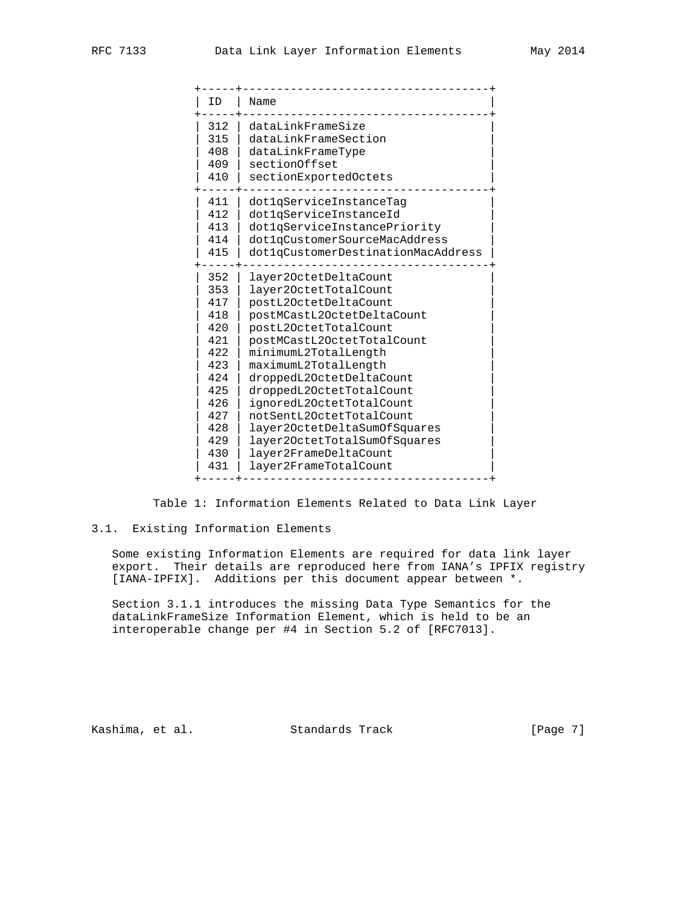| ΙD  | Name                               |
|-----|------------------------------------|
| 312 | dataLinkFrameSize                  |
| 315 | dataLinkFrameSection               |
| 408 | dataLinkFrameType                  |
| 409 | sectionOffset                      |
| 410 | sectionExportedOctets              |
| 411 | dotlgServiceInstanceTag            |
| 412 | dotlqServiceInstanceId             |
| 413 | dot1qServiceInstancePriority       |
| 414 | dot1qCustomerSourceMacAddress      |
| 415 | dot1qCustomerDestinationMacAddress |
| 352 | layer20ctetDeltaCount              |
| 353 | layer20ctetTotalCount              |
| 417 | postL20ctetDeltaCount              |
| 418 | postMCastL2OctetDeltaCount         |
| 420 | postL20ctetTotalCount              |
| 421 | postMCastL2OctetTotalCount         |
| 422 | minimumL2TotalLength               |
| 423 | maximumL2TotalLength               |
| 424 | droppedL20ctetDeltaCount           |
| 425 | droppedL20ctetTotalCount           |
| 426 | ignoredL20ctetTotalCount           |
| 427 | notSentL20ctetTotalCount           |
| 428 | layer20ctetDeltaSumOfSquares       |
| 429 | layer20ctetTotalSum0fSquares       |
| 430 | layer2FrameDeltaCount              |
| 431 | layer2FrameTotalCount              |
|     |                                    |

Table 1: Information Elements Related to Data Link Layer

#### 3.1. Existing Information Elements

 Some existing Information Elements are required for data link layer export. Their details are reproduced here from IANA's IPFIX registry [IANA-IPFIX]. Additions per this document appear between \*.

 Section 3.1.1 introduces the missing Data Type Semantics for the dataLinkFrameSize Information Element, which is held to be an interoperable change per #4 in Section 5.2 of [RFC7013].

Kashima, et al. Standards Track [Page 7]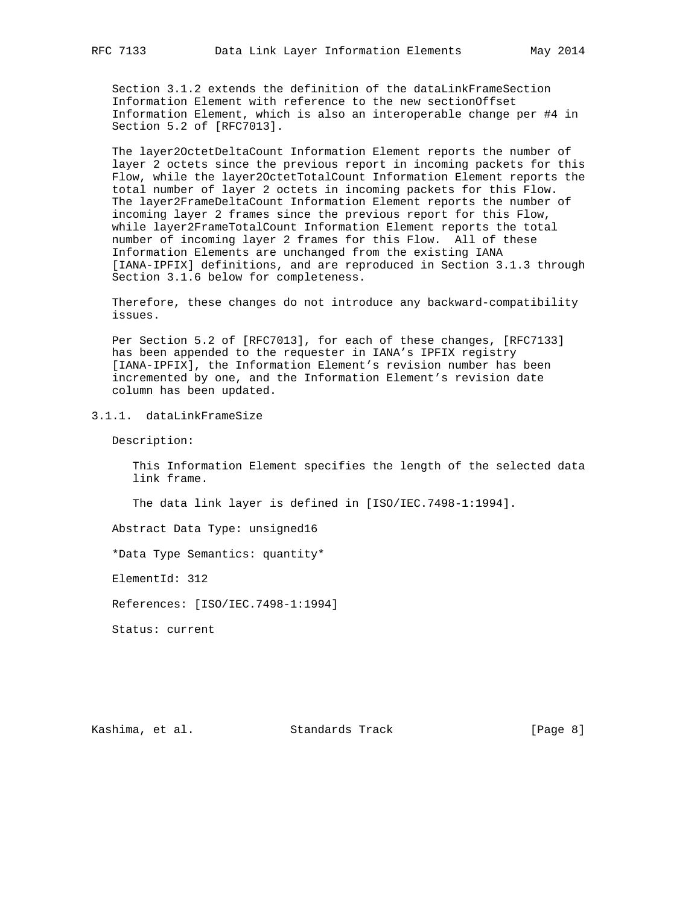Section 3.1.2 extends the definition of the dataLinkFrameSection Information Element with reference to the new sectionOffset Information Element, which is also an interoperable change per #4 in Section 5.2 of [RFC7013].

 The layer2OctetDeltaCount Information Element reports the number of layer 2 octets since the previous report in incoming packets for this Flow, while the layer2OctetTotalCount Information Element reports the total number of layer 2 octets in incoming packets for this Flow. The layer2FrameDeltaCount Information Element reports the number of incoming layer 2 frames since the previous report for this Flow, while layer2FrameTotalCount Information Element reports the total number of incoming layer 2 frames for this Flow. All of these Information Elements are unchanged from the existing IANA [IANA-IPFIX] definitions, and are reproduced in Section 3.1.3 through Section 3.1.6 below for completeness.

 Therefore, these changes do not introduce any backward-compatibility issues.

 Per Section 5.2 of [RFC7013], for each of these changes, [RFC7133] has been appended to the requester in IANA's IPFIX registry [IANA-IPFIX], the Information Element's revision number has been incremented by one, and the Information Element's revision date column has been updated.

3.1.1. dataLinkFrameSize

Description:

 This Information Element specifies the length of the selected data link frame.

The data link layer is defined in [ISO/IEC.7498-1:1994].

Abstract Data Type: unsigned16

\*Data Type Semantics: quantity\*

ElementId: 312

References: [ISO/IEC.7498-1:1994]

Status: current

Kashima, et al. Standards Track [Page 8]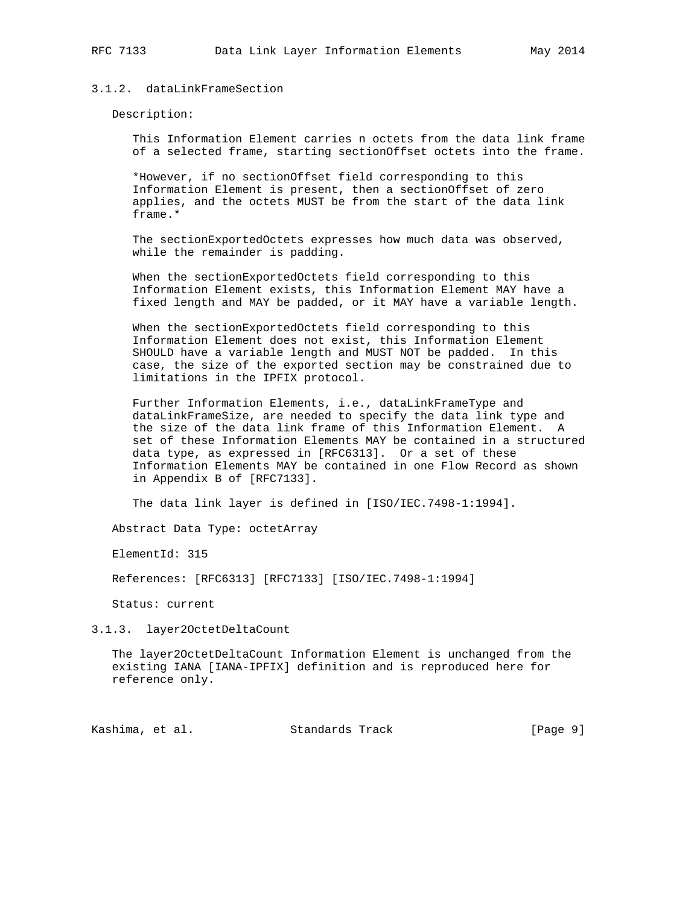### 3.1.2. dataLinkFrameSection

Description:

 This Information Element carries n octets from the data link frame of a selected frame, starting sectionOffset octets into the frame.

 \*However, if no sectionOffset field corresponding to this Information Element is present, then a sectionOffset of zero applies, and the octets MUST be from the start of the data link frame.\*

 The sectionExportedOctets expresses how much data was observed, while the remainder is padding.

 When the sectionExportedOctets field corresponding to this Information Element exists, this Information Element MAY have a fixed length and MAY be padded, or it MAY have a variable length.

 When the sectionExportedOctets field corresponding to this Information Element does not exist, this Information Element SHOULD have a variable length and MUST NOT be padded. In this case, the size of the exported section may be constrained due to limitations in the IPFIX protocol.

Further Information Elements, i.e., dataLinkFrameType and dataLinkFrameSize, are needed to specify the data link type and the size of the data link frame of this Information Element. A set of these Information Elements MAY be contained in a structured data type, as expressed in [RFC6313]. Or a set of these Information Elements MAY be contained in one Flow Record as shown in Appendix B of [RFC7133].

The data link layer is defined in [ISO/IEC.7498-1:1994].

Abstract Data Type: octetArray

ElementId: 315

References: [RFC6313] [RFC7133] [ISO/IEC.7498-1:1994]

Status: current

3.1.3. layer2OctetDeltaCount

 The layer2OctetDeltaCount Information Element is unchanged from the existing IANA [IANA-IPFIX] definition and is reproduced here for reference only.

Kashima, et al. Standards Track [Page 9]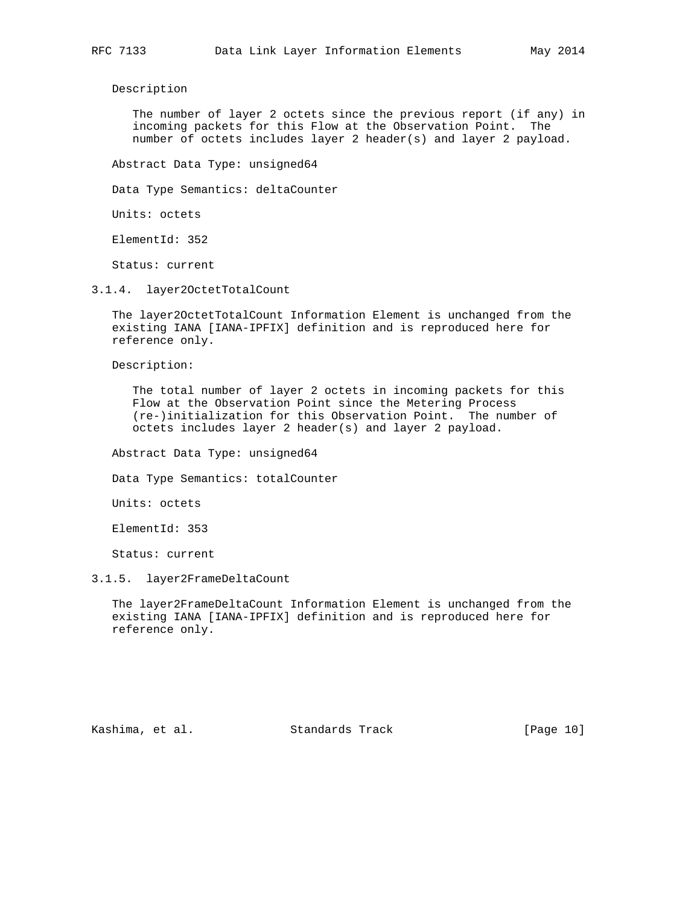Description

 The number of layer 2 octets since the previous report (if any) in incoming packets for this Flow at the Observation Point. The number of octets includes layer 2 header(s) and layer 2 payload.

Abstract Data Type: unsigned64

Data Type Semantics: deltaCounter

Units: octets

ElementId: 352

Status: current

3.1.4. layer2OctetTotalCount

 The layer2OctetTotalCount Information Element is unchanged from the existing IANA [IANA-IPFIX] definition and is reproduced here for reference only.

Description:

 The total number of layer 2 octets in incoming packets for this Flow at the Observation Point since the Metering Process (re-)initialization for this Observation Point. The number of octets includes layer 2 header(s) and layer 2 payload.

Abstract Data Type: unsigned64

Data Type Semantics: totalCounter

Units: octets

ElementId: 353

Status: current

#### 3.1.5. layer2FrameDeltaCount

 The layer2FrameDeltaCount Information Element is unchanged from the existing IANA [IANA-IPFIX] definition and is reproduced here for reference only.

Kashima, et al. Standards Track [Page 10]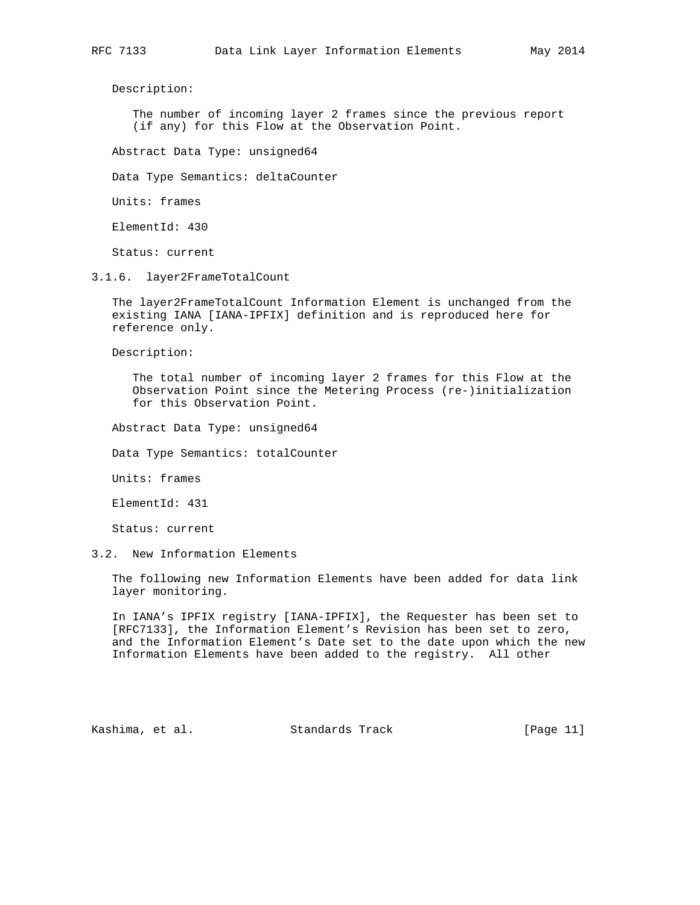Description:

 The number of incoming layer 2 frames since the previous report (if any) for this Flow at the Observation Point.

Abstract Data Type: unsigned64

Data Type Semantics: deltaCounter

Units: frames

ElementId: 430

Status: current

3.1.6. layer2FrameTotalCount

 The layer2FrameTotalCount Information Element is unchanged from the existing IANA [IANA-IPFIX] definition and is reproduced here for reference only.

Description:

 The total number of incoming layer 2 frames for this Flow at the Observation Point since the Metering Process (re-)initialization for this Observation Point.

Abstract Data Type: unsigned64

Data Type Semantics: totalCounter

Units: frames

ElementId: 431

Status: current

3.2. New Information Elements

 The following new Information Elements have been added for data link layer monitoring.

 In IANA's IPFIX registry [IANA-IPFIX], the Requester has been set to [RFC7133], the Information Element's Revision has been set to zero, and the Information Element's Date set to the date upon which the new Information Elements have been added to the registry. All other

Kashima, et al. Standards Track [Page 11]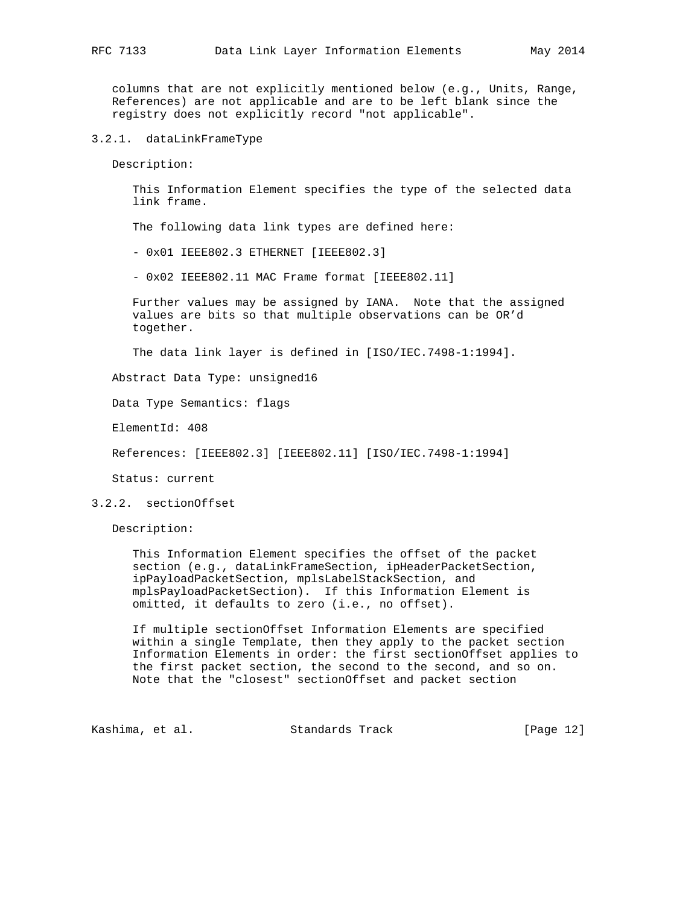columns that are not explicitly mentioned below (e.g., Units, Range, References) are not applicable and are to be left blank since the registry does not explicitly record "not applicable".

3.2.1. dataLinkFrameType

Description:

 This Information Element specifies the type of the selected data link frame.

The following data link types are defined here:

- 0x01 IEEE802.3 ETHERNET [IEEE802.3]

- 0x02 IEEE802.11 MAC Frame format [IEEE802.11]

 Further values may be assigned by IANA. Note that the assigned values are bits so that multiple observations can be OR'd together.

The data link layer is defined in [ISO/IEC.7498-1:1994].

Abstract Data Type: unsigned16

Data Type Semantics: flags

ElementId: 408

References: [IEEE802.3] [IEEE802.11] [ISO/IEC.7498-1:1994]

Status: current

#### 3.2.2. sectionOffset

Description:

 This Information Element specifies the offset of the packet section (e.g., dataLinkFrameSection, ipHeaderPacketSection, ipPayloadPacketSection, mplsLabelStackSection, and mplsPayloadPacketSection). If this Information Element is omitted, it defaults to zero (i.e., no offset).

 If multiple sectionOffset Information Elements are specified within a single Template, then they apply to the packet section Information Elements in order: the first sectionOffset applies to the first packet section, the second to the second, and so on. Note that the "closest" sectionOffset and packet section

Kashima, et al. Standards Track [Page 12]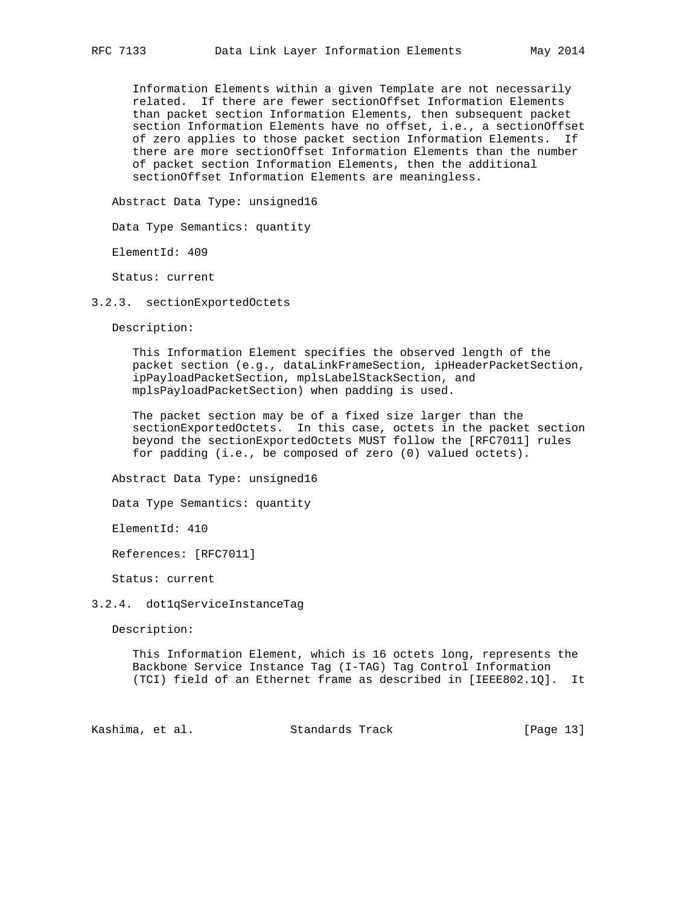Information Elements within a given Template are not necessarily related. If there are fewer sectionOffset Information Elements than packet section Information Elements, then subsequent packet section Information Elements have no offset, i.e., a sectionOffset of zero applies to those packet section Information Elements. If there are more sectionOffset Information Elements than the number of packet section Information Elements, then the additional sectionOffset Information Elements are meaningless.

Abstract Data Type: unsigned16

Data Type Semantics: quantity

ElementId: 409

Status: current

3.2.3. sectionExportedOctets

Description:

 This Information Element specifies the observed length of the packet section (e.g., dataLinkFrameSection, ipHeaderPacketSection, ipPayloadPacketSection, mplsLabelStackSection, and mplsPayloadPacketSection) when padding is used.

 The packet section may be of a fixed size larger than the sectionExportedOctets. In this case, octets in the packet section beyond the sectionExportedOctets MUST follow the [RFC7011] rules for padding (i.e., be composed of zero (0) valued octets).

Abstract Data Type: unsigned16

Data Type Semantics: quantity

ElementId: 410

References: [RFC7011]

Status: current

#### 3.2.4. dot1qServiceInstanceTag

Description:

 This Information Element, which is 16 octets long, represents the Backbone Service Instance Tag (I-TAG) Tag Control Information (TCI) field of an Ethernet frame as described in [IEEE802.1Q]. It

Kashima, et al. Standards Track [Page 13]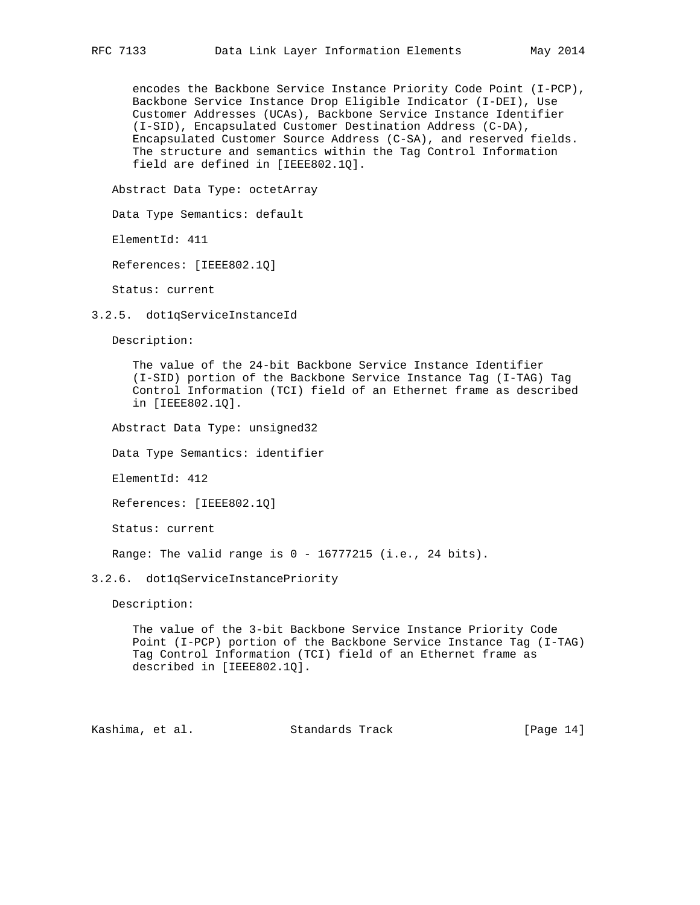encodes the Backbone Service Instance Priority Code Point (I-PCP), Backbone Service Instance Drop Eligible Indicator (I-DEI), Use Customer Addresses (UCAs), Backbone Service Instance Identifier (I-SID), Encapsulated Customer Destination Address (C-DA), Encapsulated Customer Source Address (C-SA), and reserved fields. The structure and semantics within the Tag Control Information field are defined in [IEEE802.1Q].

Abstract Data Type: octetArray

Data Type Semantics: default

ElementId: 411

References: [IEEE802.1Q]

Status: current

3.2.5. dot1qServiceInstanceId

Description:

 The value of the 24-bit Backbone Service Instance Identifier (I-SID) portion of the Backbone Service Instance Tag (I-TAG) Tag Control Information (TCI) field of an Ethernet frame as described in [IEEE802.1Q].

Abstract Data Type: unsigned32

Data Type Semantics: identifier

ElementId: 412

References: [IEEE802.1Q]

Status: current

Range: The valid range is 0 - 16777215 (i.e., 24 bits).

#### 3.2.6. dot1qServiceInstancePriority

Description:

 The value of the 3-bit Backbone Service Instance Priority Code Point (I-PCP) portion of the Backbone Service Instance Tag (I-TAG) Tag Control Information (TCI) field of an Ethernet frame as described in [IEEE802.1Q].

Kashima, et al. Standards Track [Page 14]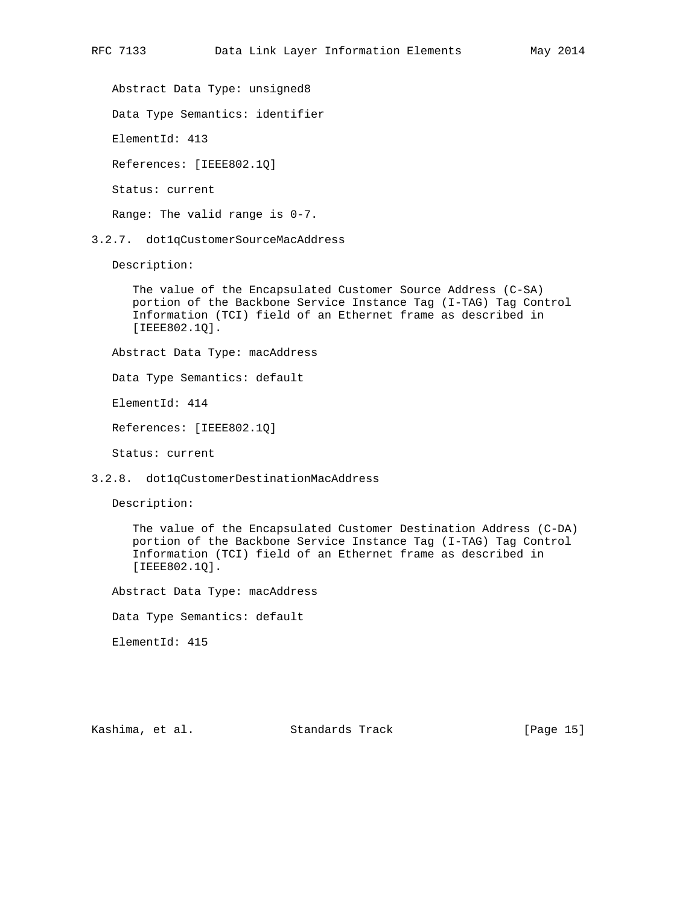Abstract Data Type: unsigned8

Data Type Semantics: identifier

ElementId: 413

References: [IEEE802.1Q]

Status: current

Range: The valid range is 0-7.

3.2.7. dot1qCustomerSourceMacAddress

Description:

 The value of the Encapsulated Customer Source Address (C-SA) portion of the Backbone Service Instance Tag (I-TAG) Tag Control Information (TCI) field of an Ethernet frame as described in [IEEE802.1Q].

Abstract Data Type: macAddress

Data Type Semantics: default

ElementId: 414

References: [IEEE802.1Q]

Status: current

3.2.8. dot1qCustomerDestinationMacAddress

Description:

 The value of the Encapsulated Customer Destination Address (C-DA) portion of the Backbone Service Instance Tag (I-TAG) Tag Control Information (TCI) field of an Ethernet frame as described in [IEEE802.1Q].

Abstract Data Type: macAddress

Data Type Semantics: default

ElementId: 415

Kashima, et al. Standards Track [Page 15]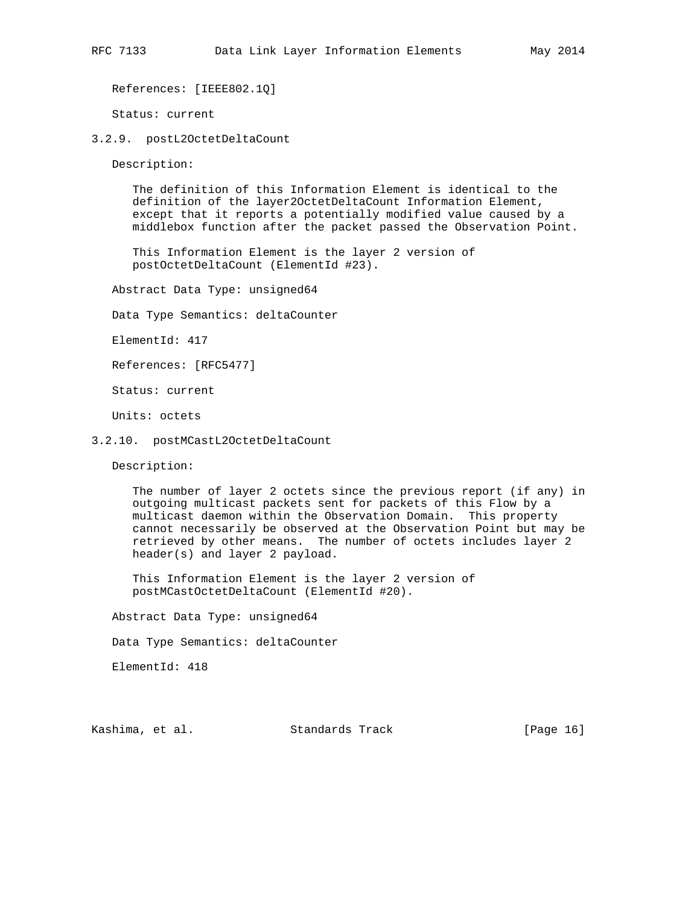References: [IEEE802.1Q]

Status: current

3.2.9. postL2OctetDeltaCount

Description:

 The definition of this Information Element is identical to the definition of the layer2OctetDeltaCount Information Element, except that it reports a potentially modified value caused by a middlebox function after the packet passed the Observation Point.

 This Information Element is the layer 2 version of postOctetDeltaCount (ElementId #23).

Abstract Data Type: unsigned64

Data Type Semantics: deltaCounter

ElementId: 417

References: [RFC5477]

Status: current

Units: octets

3.2.10. postMCastL2OctetDeltaCount

Description:

 The number of layer 2 octets since the previous report (if any) in outgoing multicast packets sent for packets of this Flow by a multicast daemon within the Observation Domain. This property cannot necessarily be observed at the Observation Point but may be retrieved by other means. The number of octets includes layer 2 header(s) and layer 2 payload.

 This Information Element is the layer 2 version of postMCastOctetDeltaCount (ElementId #20).

Abstract Data Type: unsigned64

Data Type Semantics: deltaCounter

ElementId: 418

Kashima, et al. Standards Track [Page 16]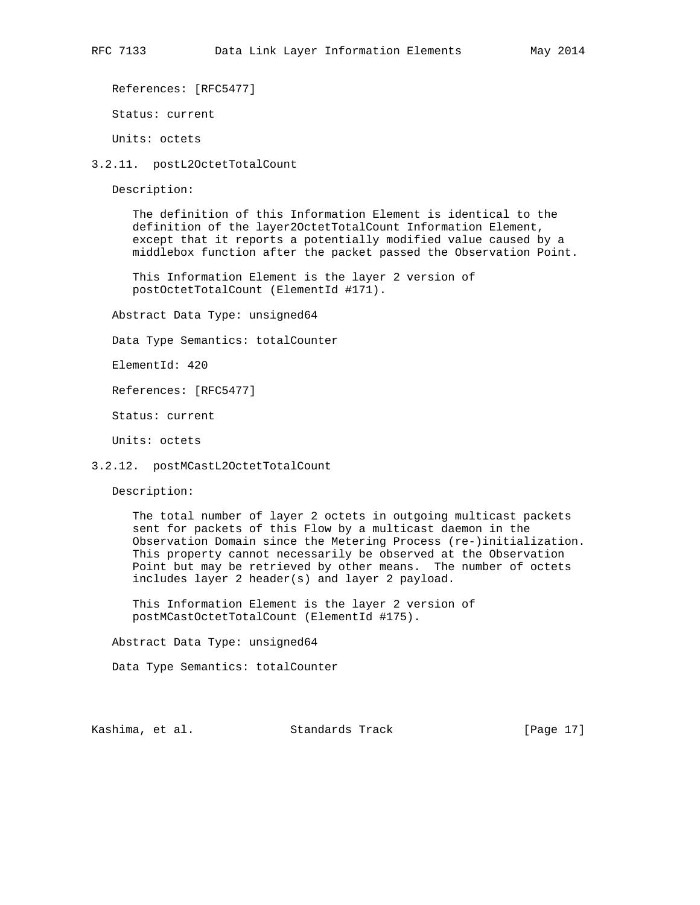References: [RFC5477]

Status: current

Units: octets

3.2.11. postL2OctetTotalCount

Description:

 The definition of this Information Element is identical to the definition of the layer2OctetTotalCount Information Element, except that it reports a potentially modified value caused by a middlebox function after the packet passed the Observation Point.

 This Information Element is the layer 2 version of postOctetTotalCount (ElementId #171).

Abstract Data Type: unsigned64

Data Type Semantics: totalCounter

ElementId: 420

References: [RFC5477]

Status: current

Units: octets

#### 3.2.12. postMCastL2OctetTotalCount

Description:

 The total number of layer 2 octets in outgoing multicast packets sent for packets of this Flow by a multicast daemon in the Observation Domain since the Metering Process (re-)initialization. This property cannot necessarily be observed at the Observation Point but may be retrieved by other means. The number of octets includes layer 2 header(s) and layer 2 payload.

 This Information Element is the layer 2 version of postMCastOctetTotalCount (ElementId #175).

Abstract Data Type: unsigned64

Data Type Semantics: totalCounter

Kashima, et al. Standards Track [Page 17]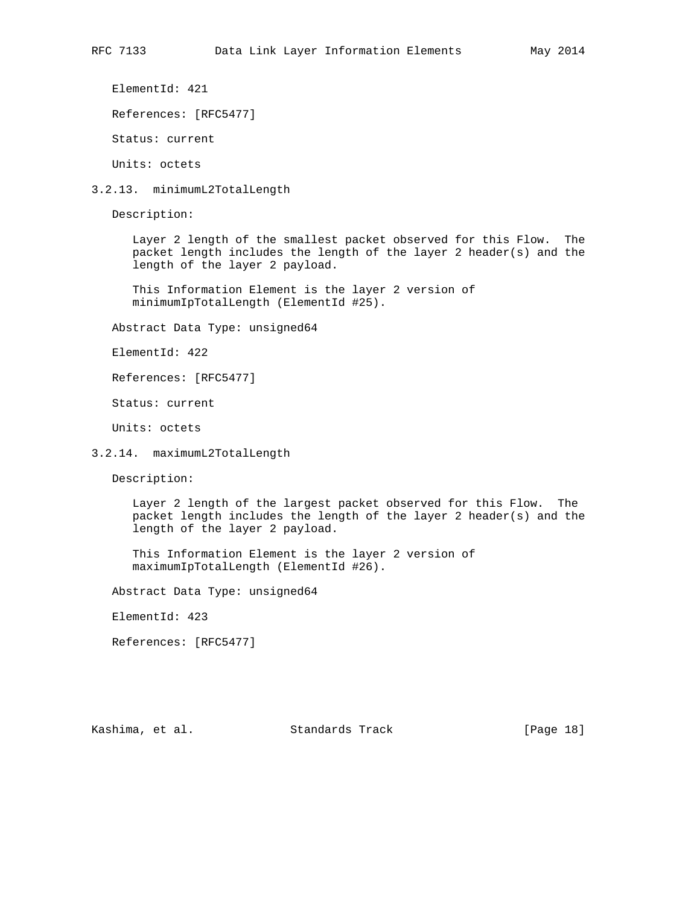ElementId: 421

References: [RFC5477]

Status: current

Units: octets

3.2.13. minimumL2TotalLength

Description:

 Layer 2 length of the smallest packet observed for this Flow. The packet length includes the length of the layer 2 header(s) and the length of the layer 2 payload.

 This Information Element is the layer 2 version of minimumIpTotalLength (ElementId #25).

Abstract Data Type: unsigned64

ElementId: 422

References: [RFC5477]

Status: current

Units: octets

3.2.14. maximumL2TotalLength

Description:

 Layer 2 length of the largest packet observed for this Flow. The packet length includes the length of the layer 2 header(s) and the length of the layer 2 payload.

 This Information Element is the layer 2 version of maximumIpTotalLength (ElementId #26).

Abstract Data Type: unsigned64

ElementId: 423

References: [RFC5477]

Kashima, et al. Standards Track [Page 18]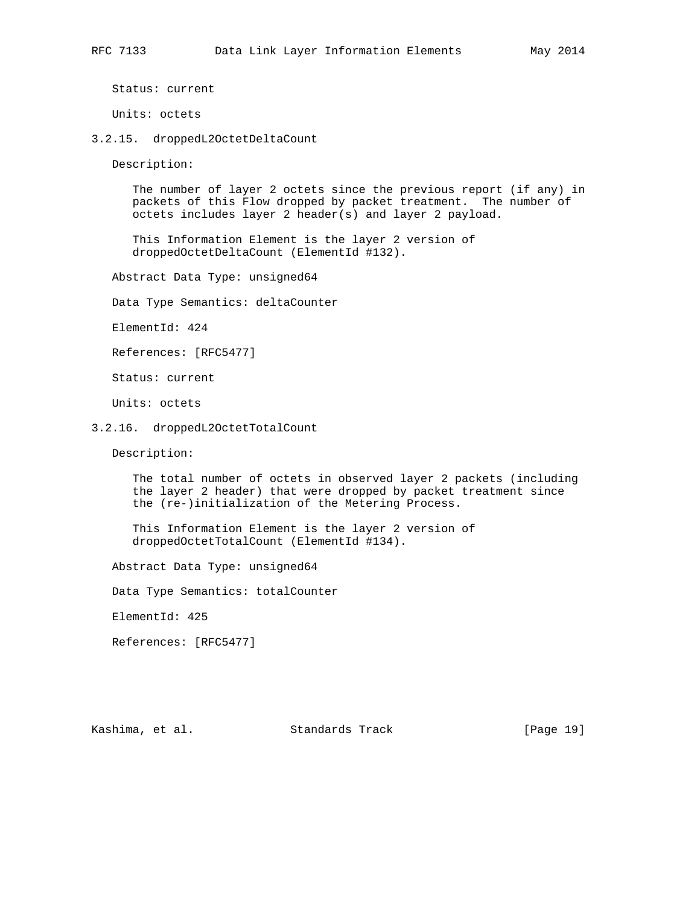Units: octets

3.2.15. droppedL2OctetDeltaCount

Description:

 The number of layer 2 octets since the previous report (if any) in packets of this Flow dropped by packet treatment. The number of octets includes layer 2 header(s) and layer 2 payload.

 This Information Element is the layer 2 version of droppedOctetDeltaCount (ElementId #132).

Abstract Data Type: unsigned64

Data Type Semantics: deltaCounter

ElementId: 424

References: [RFC5477]

Status: current

Units: octets

3.2.16. droppedL2OctetTotalCount

Description:

 The total number of octets in observed layer 2 packets (including the layer 2 header) that were dropped by packet treatment since the (re-)initialization of the Metering Process.

 This Information Element is the layer 2 version of droppedOctetTotalCount (ElementId #134).

Abstract Data Type: unsigned64

Data Type Semantics: totalCounter

ElementId: 425

References: [RFC5477]

Kashima, et al. Standards Track [Page 19]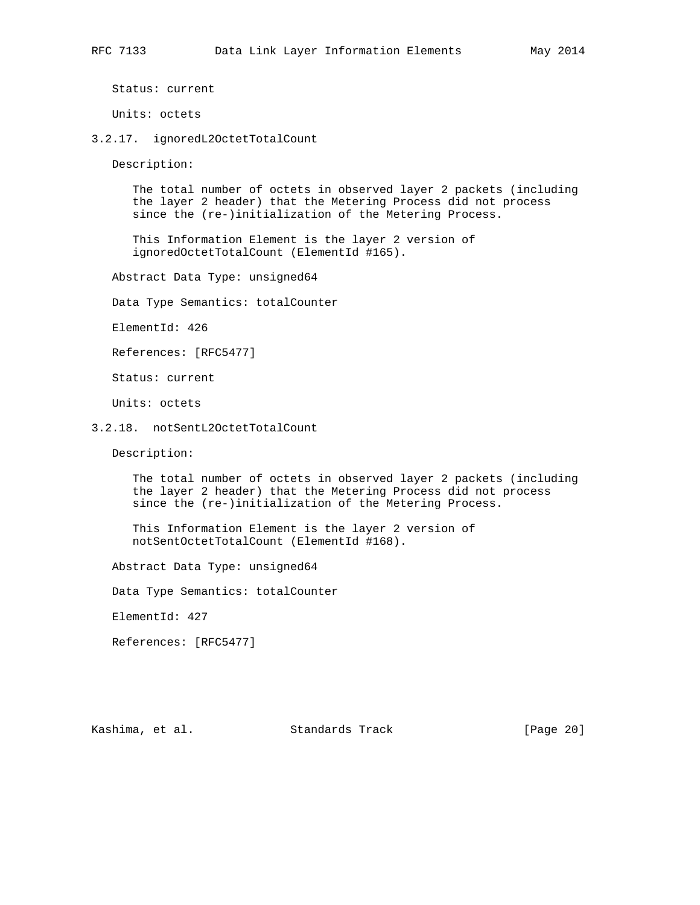Units: octets

3.2.17. ignoredL2OctetTotalCount

Description:

 The total number of octets in observed layer 2 packets (including the layer 2 header) that the Metering Process did not process since the (re-)initialization of the Metering Process.

 This Information Element is the layer 2 version of ignoredOctetTotalCount (ElementId #165).

Abstract Data Type: unsigned64

Data Type Semantics: totalCounter

ElementId: 426

References: [RFC5477]

Status: current

Units: octets

#### 3.2.18. notSentL2OctetTotalCount

Description:

 The total number of octets in observed layer 2 packets (including the layer 2 header) that the Metering Process did not process since the (re-)initialization of the Metering Process.

 This Information Element is the layer 2 version of notSentOctetTotalCount (ElementId #168).

Abstract Data Type: unsigned64

Data Type Semantics: totalCounter

ElementId: 427

References: [RFC5477]

Kashima, et al. Standards Track [Page 20]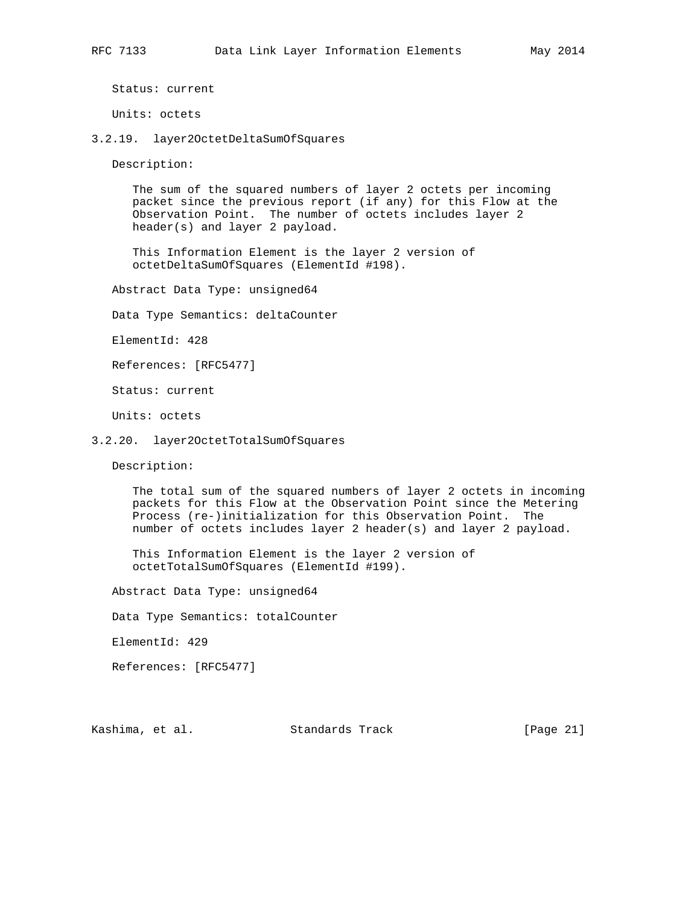Units: octets

3.2.19. layer2OctetDeltaSumOfSquares

Description:

 The sum of the squared numbers of layer 2 octets per incoming packet since the previous report (if any) for this Flow at the Observation Point. The number of octets includes layer 2 header(s) and layer 2 payload.

 This Information Element is the layer 2 version of octetDeltaSumOfSquares (ElementId #198).

Abstract Data Type: unsigned64

Data Type Semantics: deltaCounter

ElementId: 428

References: [RFC5477]

Status: current

Units: octets

3.2.20. layer2OctetTotalSumOfSquares

Description:

 The total sum of the squared numbers of layer 2 octets in incoming packets for this Flow at the Observation Point since the Metering Process (re-)initialization for this Observation Point. The number of octets includes layer 2 header(s) and layer 2 payload.

 This Information Element is the layer 2 version of octetTotalSumOfSquares (ElementId #199).

Abstract Data Type: unsigned64

Data Type Semantics: totalCounter

ElementId: 429

References: [RFC5477]

Kashima, et al. Standards Track [Page 21]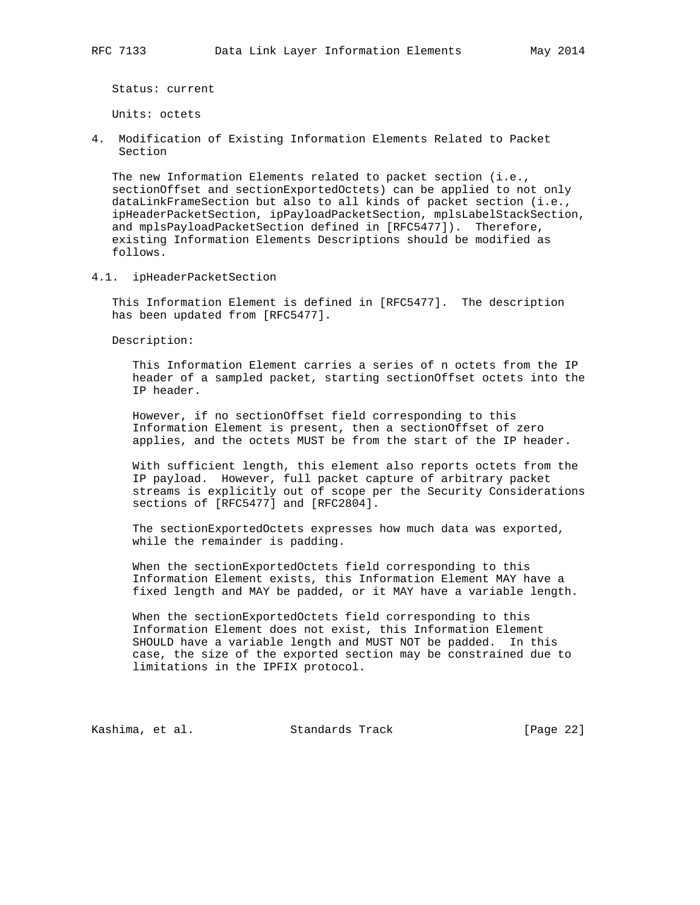Units: octets

4. Modification of Existing Information Elements Related to Packet Section

 The new Information Elements related to packet section (i.e., sectionOffset and sectionExportedOctets) can be applied to not only dataLinkFrameSection but also to all kinds of packet section (i.e., ipHeaderPacketSection, ipPayloadPacketSection, mplsLabelStackSection, and mplsPayloadPacketSection defined in [RFC5477]). Therefore, existing Information Elements Descriptions should be modified as follows.

4.1. ipHeaderPacketSection

 This Information Element is defined in [RFC5477]. The description has been updated from [RFC5477].

Description:

 This Information Element carries a series of n octets from the IP header of a sampled packet, starting sectionOffset octets into the IP header.

 However, if no sectionOffset field corresponding to this Information Element is present, then a sectionOffset of zero applies, and the octets MUST be from the start of the IP header.

 With sufficient length, this element also reports octets from the IP payload. However, full packet capture of arbitrary packet streams is explicitly out of scope per the Security Considerations sections of [RFC5477] and [RFC2804].

 The sectionExportedOctets expresses how much data was exported, while the remainder is padding.

 When the sectionExportedOctets field corresponding to this Information Element exists, this Information Element MAY have a fixed length and MAY be padded, or it MAY have a variable length.

 When the sectionExportedOctets field corresponding to this Information Element does not exist, this Information Element SHOULD have a variable length and MUST NOT be padded. In this case, the size of the exported section may be constrained due to limitations in the IPFIX protocol.

Kashima, et al. Standards Track [Page 22]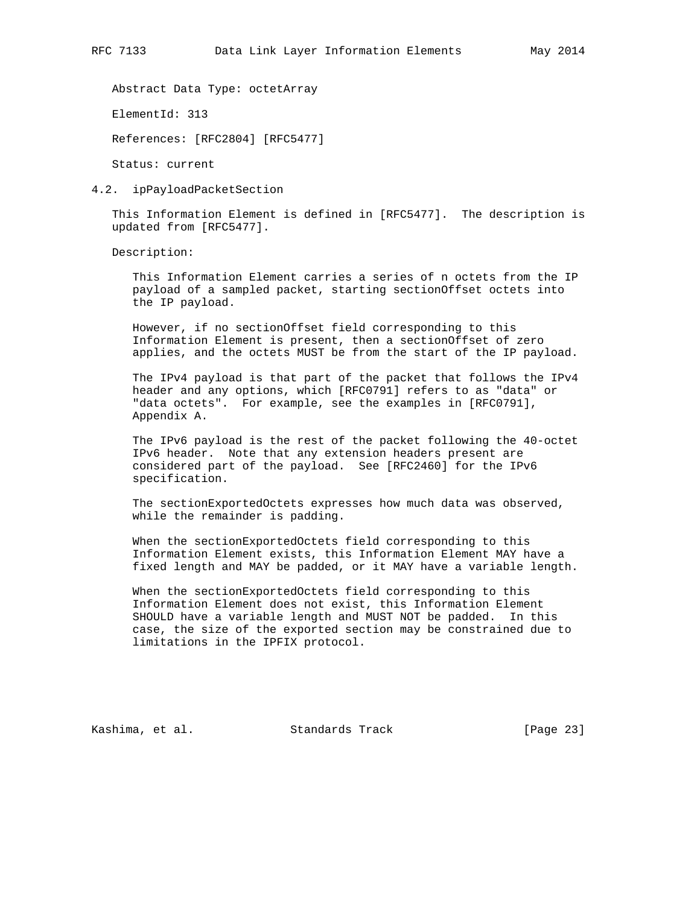Abstract Data Type: octetArray

ElementId: 313

References: [RFC2804] [RFC5477]

Status: current

4.2. ipPayloadPacketSection

 This Information Element is defined in [RFC5477]. The description is updated from [RFC5477].

Description:

 This Information Element carries a series of n octets from the IP payload of a sampled packet, starting sectionOffset octets into the IP payload.

 However, if no sectionOffset field corresponding to this Information Element is present, then a sectionOffset of zero applies, and the octets MUST be from the start of the IP payload.

 The IPv4 payload is that part of the packet that follows the IPv4 header and any options, which [RFC0791] refers to as "data" or "data octets". For example, see the examples in [RFC0791], Appendix A.

 The IPv6 payload is the rest of the packet following the 40-octet IPv6 header. Note that any extension headers present are considered part of the payload. See [RFC2460] for the IPv6 specification.

 The sectionExportedOctets expresses how much data was observed, while the remainder is padding.

 When the sectionExportedOctets field corresponding to this Information Element exists, this Information Element MAY have a fixed length and MAY be padded, or it MAY have a variable length.

 When the sectionExportedOctets field corresponding to this Information Element does not exist, this Information Element SHOULD have a variable length and MUST NOT be padded. In this case, the size of the exported section may be constrained due to limitations in the IPFIX protocol.

Kashima, et al. Standards Track [Page 23]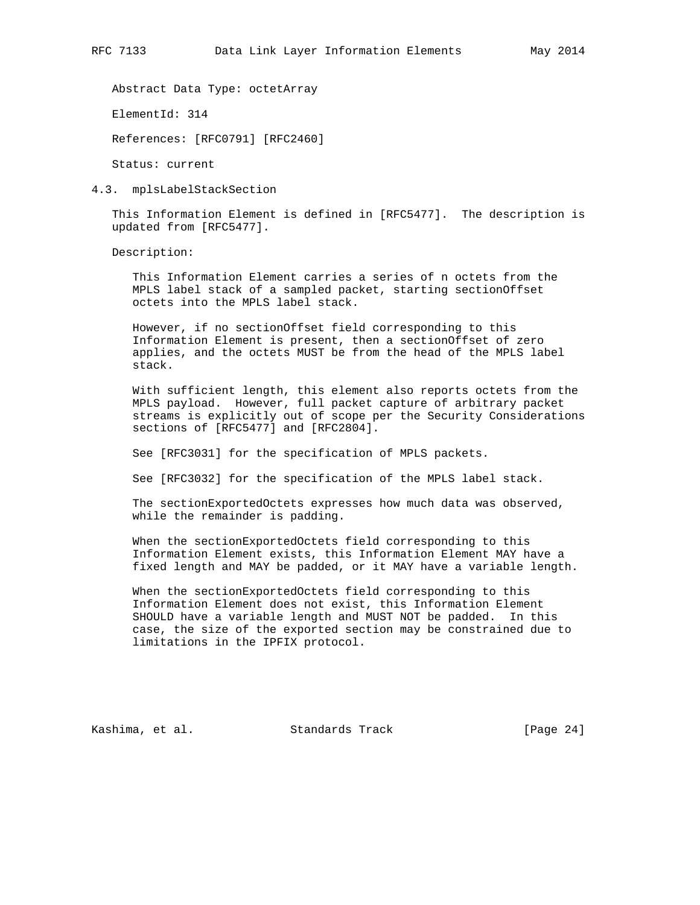Abstract Data Type: octetArray

ElementId: 314

References: [RFC0791] [RFC2460]

Status: current

4.3. mplsLabelStackSection

 This Information Element is defined in [RFC5477]. The description is updated from [RFC5477].

Description:

 This Information Element carries a series of n octets from the MPLS label stack of a sampled packet, starting sectionOffset octets into the MPLS label stack.

 However, if no sectionOffset field corresponding to this Information Element is present, then a sectionOffset of zero applies, and the octets MUST be from the head of the MPLS label stack.

 With sufficient length, this element also reports octets from the MPLS payload. However, full packet capture of arbitrary packet streams is explicitly out of scope per the Security Considerations sections of [RFC5477] and [RFC2804].

See [RFC3031] for the specification of MPLS packets.

See [RFC3032] for the specification of the MPLS label stack.

 The sectionExportedOctets expresses how much data was observed, while the remainder is padding.

 When the sectionExportedOctets field corresponding to this Information Element exists, this Information Element MAY have a fixed length and MAY be padded, or it MAY have a variable length.

 When the sectionExportedOctets field corresponding to this Information Element does not exist, this Information Element SHOULD have a variable length and MUST NOT be padded. In this case, the size of the exported section may be constrained due to limitations in the IPFIX protocol.

Kashima, et al. Standards Track [Page 24]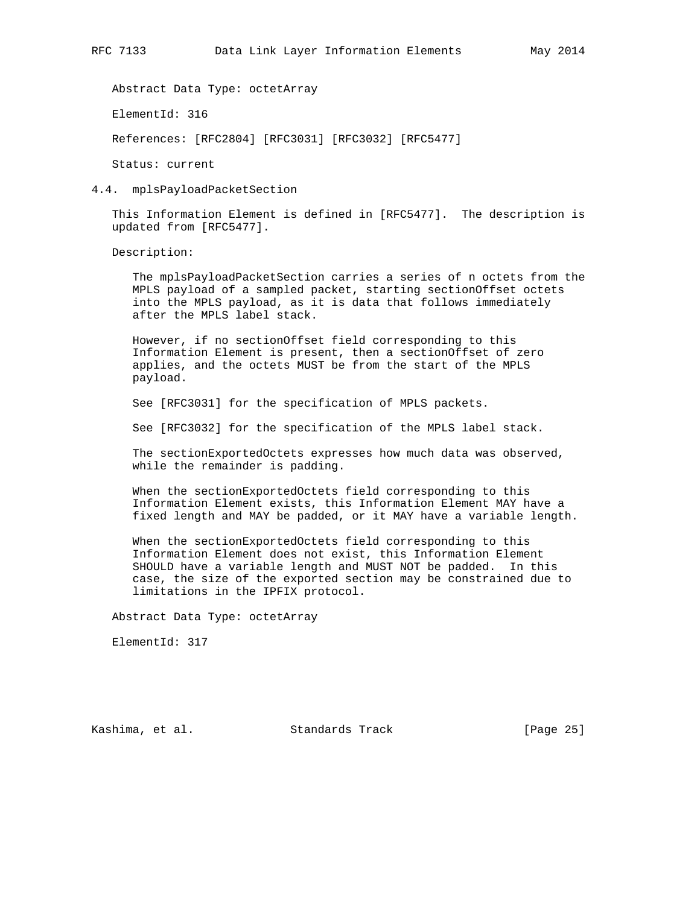Abstract Data Type: octetArray

ElementId: 316

References: [RFC2804] [RFC3031] [RFC3032] [RFC5477]

Status: current

4.4. mplsPayloadPacketSection

 This Information Element is defined in [RFC5477]. The description is updated from [RFC5477].

Description:

 The mplsPayloadPacketSection carries a series of n octets from the MPLS payload of a sampled packet, starting sectionOffset octets into the MPLS payload, as it is data that follows immediately after the MPLS label stack.

 However, if no sectionOffset field corresponding to this Information Element is present, then a sectionOffset of zero applies, and the octets MUST be from the start of the MPLS payload.

See [RFC3031] for the specification of MPLS packets.

See [RFC3032] for the specification of the MPLS label stack.

 The sectionExportedOctets expresses how much data was observed, while the remainder is padding.

 When the sectionExportedOctets field corresponding to this Information Element exists, this Information Element MAY have a fixed length and MAY be padded, or it MAY have a variable length.

 When the sectionExportedOctets field corresponding to this Information Element does not exist, this Information Element SHOULD have a variable length and MUST NOT be padded. In this case, the size of the exported section may be constrained due to limitations in the IPFIX protocol.

Abstract Data Type: octetArray

ElementId: 317

Kashima, et al. Standards Track [Page 25]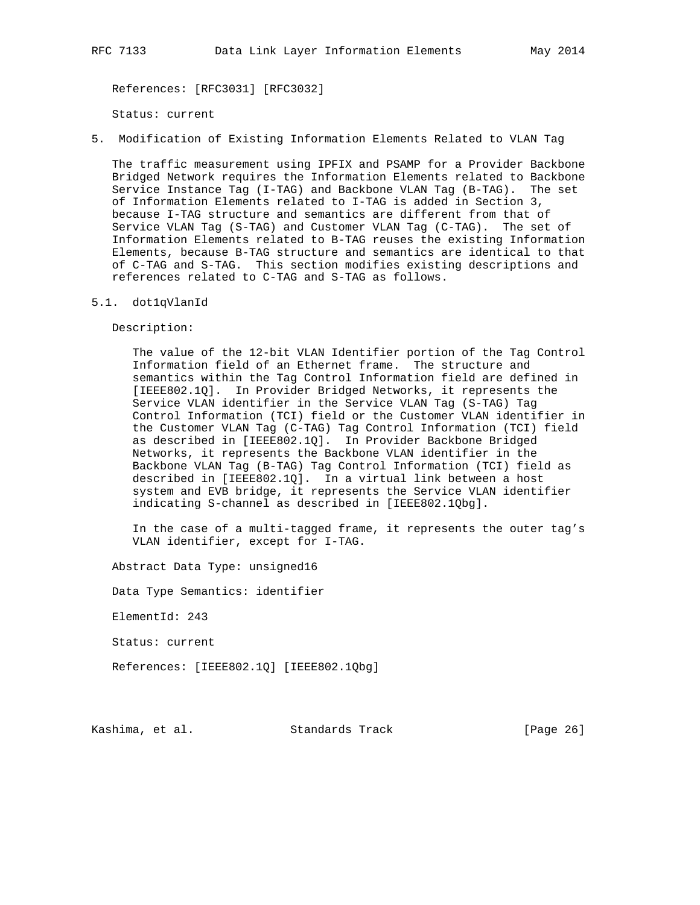References: [RFC3031] [RFC3032]

Status: current

5. Modification of Existing Information Elements Related to VLAN Tag

 The traffic measurement using IPFIX and PSAMP for a Provider Backbone Bridged Network requires the Information Elements related to Backbone Service Instance Tag (I-TAG) and Backbone VLAN Tag (B-TAG). The set of Information Elements related to I-TAG is added in Section 3, because I-TAG structure and semantics are different from that of Service VLAN Tag (S-TAG) and Customer VLAN Tag (C-TAG). The set of Information Elements related to B-TAG reuses the existing Information Elements, because B-TAG structure and semantics are identical to that of C-TAG and S-TAG. This section modifies existing descriptions and references related to C-TAG and S-TAG as follows.

#### 5.1. dot1qVlanId

Description:

 The value of the 12-bit VLAN Identifier portion of the Tag Control Information field of an Ethernet frame. The structure and semantics within the Tag Control Information field are defined in [IEEE802.1Q]. In Provider Bridged Networks, it represents the Service VLAN identifier in the Service VLAN Tag (S-TAG) Tag Control Information (TCI) field or the Customer VLAN identifier in the Customer VLAN Tag (C-TAG) Tag Control Information (TCI) field as described in [IEEE802.1Q]. In Provider Backbone Bridged Networks, it represents the Backbone VLAN identifier in the Backbone VLAN Tag (B-TAG) Tag Control Information (TCI) field as described in [IEEE802.1Q]. In a virtual link between a host system and EVB bridge, it represents the Service VLAN identifier indicating S-channel as described in [IEEE802.1Qbg].

 In the case of a multi-tagged frame, it represents the outer tag's VLAN identifier, except for I-TAG.

Abstract Data Type: unsigned16

Data Type Semantics: identifier

ElementId: 243

Status: current

References: [IEEE802.1Q] [IEEE802.1Qbg]

Kashima, et al. Standards Track [Page 26]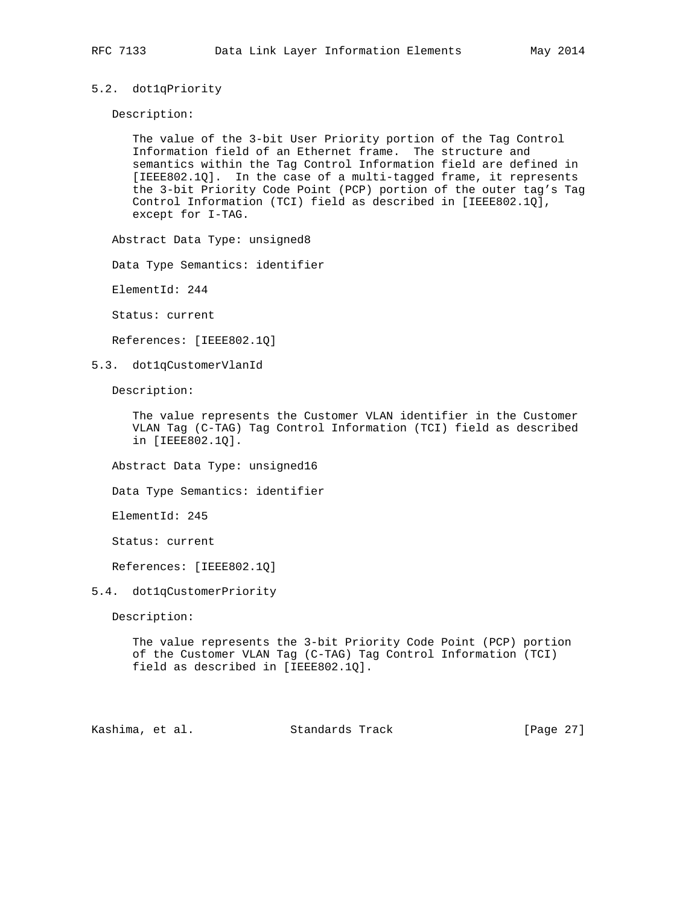## 5.2. dot1qPriority

Description:

 The value of the 3-bit User Priority portion of the Tag Control Information field of an Ethernet frame. The structure and semantics within the Tag Control Information field are defined in [IEEE802.1Q]. In the case of a multi-tagged frame, it represents the 3-bit Priority Code Point (PCP) portion of the outer tag's Tag Control Information (TCI) field as described in [IEEE802.1Q], except for I-TAG.

Abstract Data Type: unsigned8

Data Type Semantics: identifier

ElementId: 244

Status: current

References: [IEEE802.1Q]

5.3. dot1qCustomerVlanId

Description:

 The value represents the Customer VLAN identifier in the Customer VLAN Tag (C-TAG) Tag Control Information (TCI) field as described in [IEEE802.1Q].

Abstract Data Type: unsigned16

Data Type Semantics: identifier

ElementId: 245

Status: current

References: [IEEE802.1Q]

#### 5.4. dot1qCustomerPriority

Description:

 The value represents the 3-bit Priority Code Point (PCP) portion of the Customer VLAN Tag (C-TAG) Tag Control Information (TCI) field as described in [IEEE802.1Q].

Kashima, et al. Standards Track [Page 27]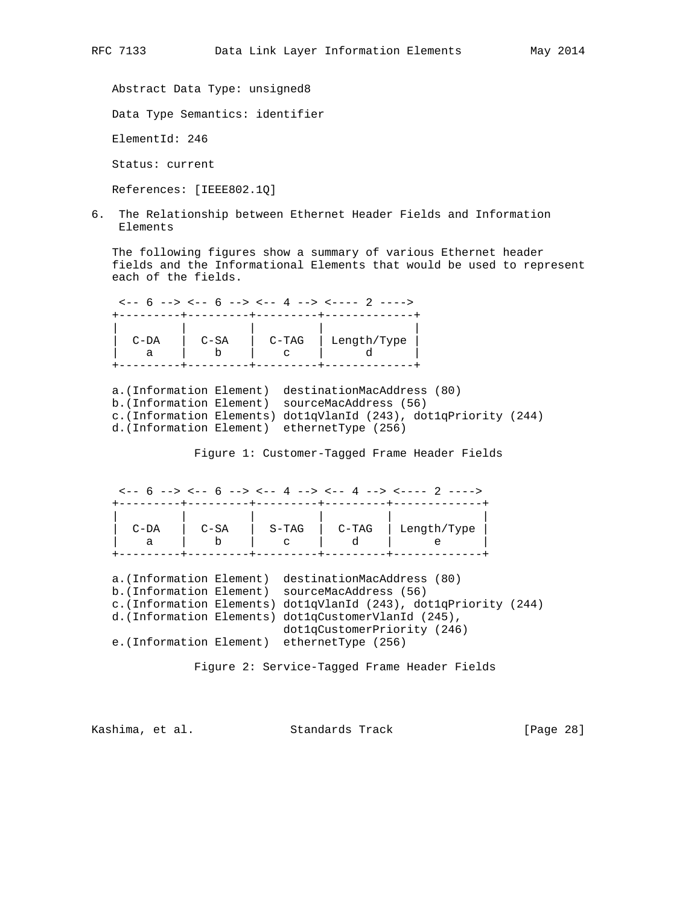Abstract Data Type: unsigned8

Data Type Semantics: identifier

ElementId: 246

Status: current

References: [IEEE802.1Q]

6. The Relationship between Ethernet Header Fields and Information Elements

 The following figures show a summary of various Ethernet header fields and the Informational Elements that would be used to represent each of the fields.

|        |        |       | $\leftarrow -6$ --> $\leftarrow -6$ --> $\leftarrow -4$ --> $\leftarrow$ --- 2 ----> |
|--------|--------|-------|--------------------------------------------------------------------------------------|
|        |        |       |                                                                                      |
| $C-DA$ | $C-SA$ | C-TAG | Length/Type                                                                          |
|        |        |       |                                                                                      |

 a.(Information Element) destinationMacAddress (80) b.(Information Element) sourceMacAddress (56) c.(Information Elements) dot1qVlanId (243), dot1qPriority (244) d.(Information Element) ethernetType (256)

Figure 1: Customer-Tagged Frame Header Fields

 $\leftarrow -6$  -->  $\leftarrow -6$  -->  $\leftarrow -4$  -->  $\leftarrow -4$  -->  $\leftarrow -12$  ----> +---------+---------+---------+---------+-------------+ | | | | | | | C-DA | C-SA | S-TAG | C-TAG | Length/Type | | a | b | c | d | e | +---------+---------+---------+---------+-------------+

 a.(Information Element) destinationMacAddress (80) b.(Information Element) sourceMacAddress (56) c.(Information Elements) dot1qVlanId (243), dot1qPriority (244) d.(Information Elements) dot1qCustomerVlanId (245), dot1qCustomerPriority (246) e.(Information Element) ethernetType (256)

Figure 2: Service-Tagged Frame Header Fields

Kashima, et al. Standards Track [Page 28]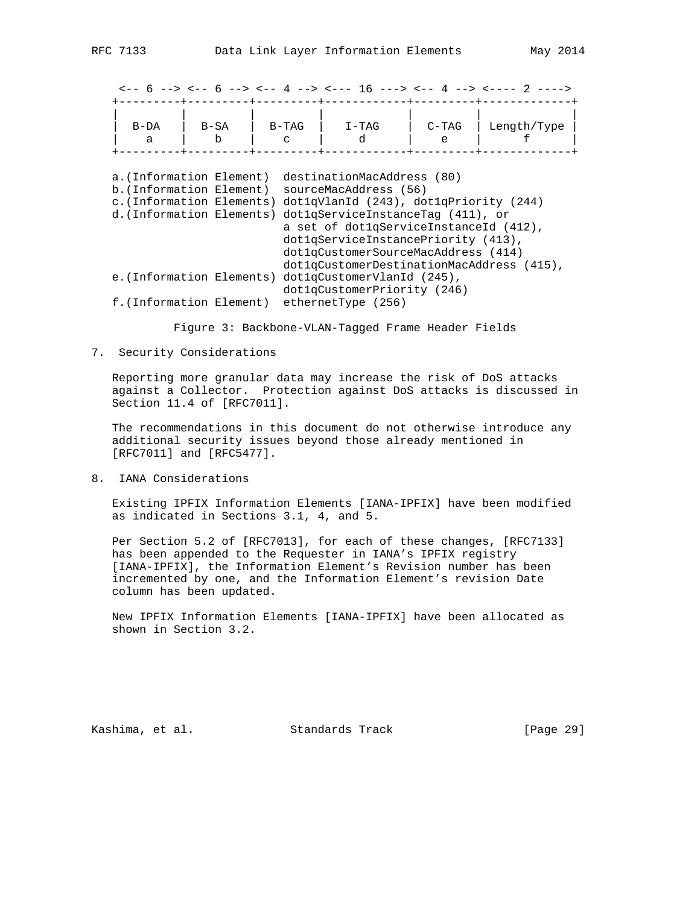|                                                                                                               |             |              |                                                                                                                                                                                                                                                                                                         |              | $\leftarrow -6$ --> $\leftarrow -6$ --> $\leftarrow -4$ --> $\leftarrow -16$ ---> $\leftarrow -4$ --> $\leftarrow -2$ ----> |  |
|---------------------------------------------------------------------------------------------------------------|-------------|--------------|---------------------------------------------------------------------------------------------------------------------------------------------------------------------------------------------------------------------------------------------------------------------------------------------------------|--------------|-----------------------------------------------------------------------------------------------------------------------------|--|
| $B-DA$<br>a                                                                                                   | $B-SA$<br>b | $B-TAG$<br>C | $I-TAG$<br>d                                                                                                                                                                                                                                                                                            | $C-TAG$<br>e | Length/Type                                                                                                                 |  |
| a.(Information Element)<br>b. (Information Element)<br>c. (Information Elements)<br>d. (Information Elements) |             |              | destinationMacAddress (80)<br>sourceMacAddress (56)<br>dotlqVlanId (243), dotlqPriority (244)<br>dotlgServiceInstanceTag (411), or<br>a set of dotlgServiceInstanceId (412),<br>dotlgServiceInstancePriority (413),<br>dotlgCustomerSourceMacAddress (414)<br>dot1qCustomerDestinationMacAddress (415), |              |                                                                                                                             |  |
|                                                                                                               |             |              | e. (Information Elements) dot1qCustomerVlanId (245),<br>dot1qCustomerPriority (246)                                                                                                                                                                                                                     |              |                                                                                                                             |  |
| f. (Information Element)                                                                                      |             |              | ethernetType (256)                                                                                                                                                                                                                                                                                      |              |                                                                                                                             |  |

Figure 3: Backbone-VLAN-Tagged Frame Header Fields

#### 7. Security Considerations

 Reporting more granular data may increase the risk of DoS attacks against a Collector. Protection against DoS attacks is discussed in Section 11.4 of [RFC7011].

 The recommendations in this document do not otherwise introduce any additional security issues beyond those already mentioned in [RFC7011] and [RFC5477].

8. IANA Considerations

 Existing IPFIX Information Elements [IANA-IPFIX] have been modified as indicated in Sections 3.1, 4, and 5.

 Per Section 5.2 of [RFC7013], for each of these changes, [RFC7133] has been appended to the Requester in IANA's IPFIX registry [IANA-IPFIX], the Information Element's Revision number has been incremented by one, and the Information Element's revision Date column has been updated.

 New IPFIX Information Elements [IANA-IPFIX] have been allocated as shown in Section 3.2.

Kashima, et al. Standards Track [Page 29]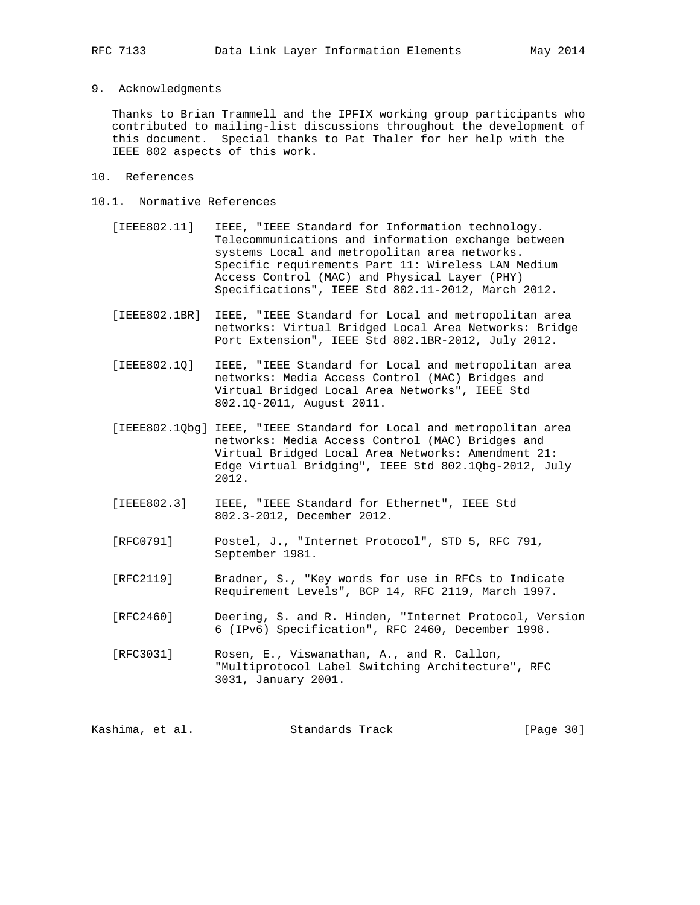## 9. Acknowledgments

 Thanks to Brian Trammell and the IPFIX working group participants who contributed to mailing-list discussions throughout the development of this document. Special thanks to Pat Thaler for her help with the IEEE 802 aspects of this work.

- 10. References
- 10.1. Normative References
	- [IEEE802.11] IEEE, "IEEE Standard for Information technology. Telecommunications and information exchange between systems Local and metropolitan area networks. Specific requirements Part 11: Wireless LAN Medium Access Control (MAC) and Physical Layer (PHY) Specifications", IEEE Std 802.11-2012, March 2012.
	- [IEEE802.1BR] IEEE, "IEEE Standard for Local and metropolitan area networks: Virtual Bridged Local Area Networks: Bridge Port Extension", IEEE Std 802.1BR-2012, July 2012.
	- [IEEE802.1Q] IEEE, "IEEE Standard for Local and metropolitan area networks: Media Access Control (MAC) Bridges and Virtual Bridged Local Area Networks", IEEE Std 802.1Q-2011, August 2011.
	- [IEEE802.1Qbg] IEEE, "IEEE Standard for Local and metropolitan area networks: Media Access Control (MAC) Bridges and Virtual Bridged Local Area Networks: Amendment 21: Edge Virtual Bridging", IEEE Std 802.1Qbg-2012, July 2012.
	- [IEEE802.3] IEEE, "IEEE Standard for Ethernet", IEEE Std 802.3-2012, December 2012.
	- [RFC0791] Postel, J., "Internet Protocol", STD 5, RFC 791, September 1981.
	- [RFC2119] Bradner, S., "Key words for use in RFCs to Indicate Requirement Levels", BCP 14, RFC 2119, March 1997.
	- [RFC2460] Deering, S. and R. Hinden, "Internet Protocol, Version 6 (IPv6) Specification", RFC 2460, December 1998.
	- [RFC3031] Rosen, E., Viswanathan, A., and R. Callon, "Multiprotocol Label Switching Architecture", RFC 3031, January 2001.

Kashima, et al. Standards Track [Page 30]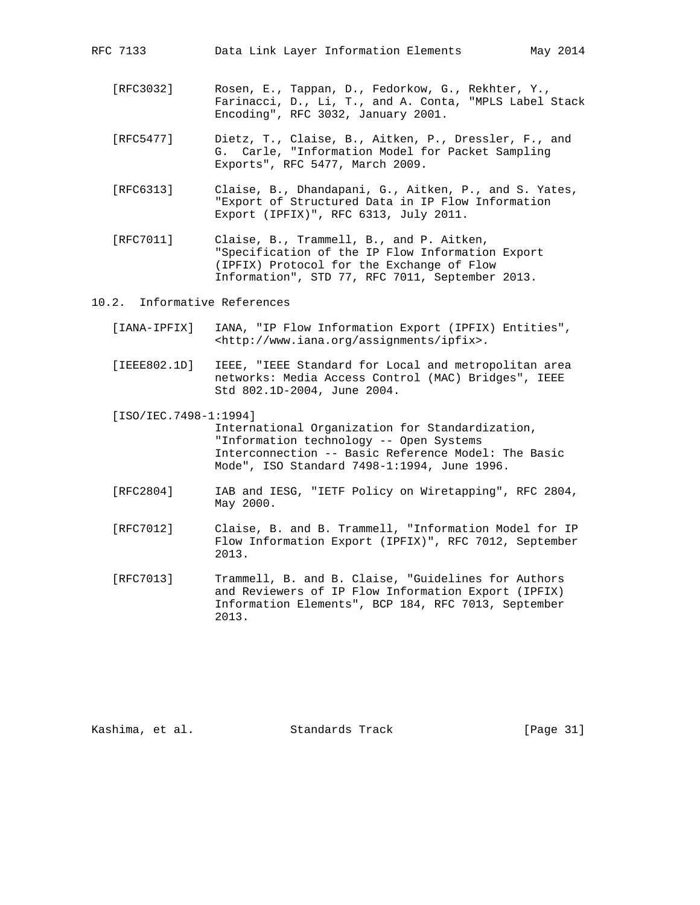RFC 7133 Data Link Layer Information Elements May 2014

- [RFC3032] Rosen, E., Tappan, D., Fedorkow, G., Rekhter, Y., Farinacci, D., Li, T., and A. Conta, "MPLS Label Stack Encoding", RFC 3032, January 2001.
- [RFC5477] Dietz, T., Claise, B., Aitken, P., Dressler, F., and G. Carle, "Information Model for Packet Sampling Exports", RFC 5477, March 2009.
- [RFC6313] Claise, B., Dhandapani, G., Aitken, P., and S. Yates, "Export of Structured Data in IP Flow Information Export (IPFIX)", RFC 6313, July 2011.
- [RFC7011] Claise, B., Trammell, B., and P. Aitken, "Specification of the IP Flow Information Export (IPFIX) Protocol for the Exchange of Flow Information", STD 77, RFC 7011, September 2013.
- 10.2. Informative References
	- [IANA-IPFIX] IANA, "IP Flow Information Export (IPFIX) Entities", <http://www.iana.org/assignments/ipfix>.
	- [IEEE802.1D] IEEE, "IEEE Standard for Local and metropolitan area networks: Media Access Control (MAC) Bridges", IEEE Std 802.1D-2004, June 2004.
	- [ISO/IEC.7498-1:1994] International Organization for Standardization, "Information technology -- Open Systems Interconnection -- Basic Reference Model: The Basic Mode", ISO Standard 7498-1:1994, June 1996.
	- [RFC2804] IAB and IESG, "IETF Policy on Wiretapping", RFC 2804, May 2000.
	- [RFC7012] Claise, B. and B. Trammell, "Information Model for IP Flow Information Export (IPFIX)", RFC 7012, September 2013.
	- [RFC7013] Trammell, B. and B. Claise, "Guidelines for Authors and Reviewers of IP Flow Information Export (IPFIX) Information Elements", BCP 184, RFC 7013, September 2013.

Kashima, et al. Standards Track [Page 31]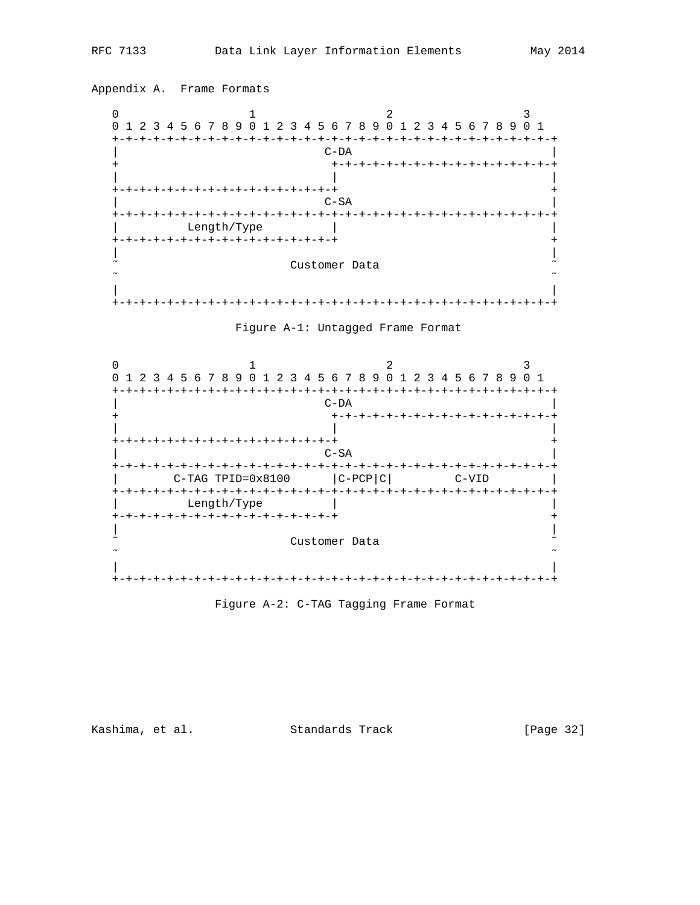







Kashima, et al. Standards Track

[Page 32]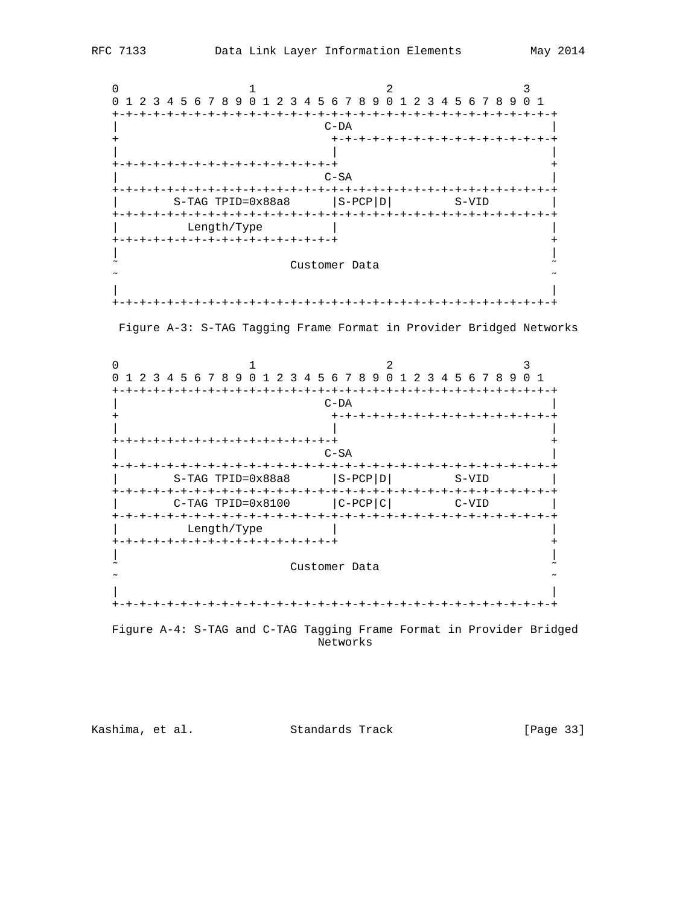





 Figure A-4: S-TAG and C-TAG Tagging Frame Format in Provider Bridged Networks

Kashima, et al. Standards Track [Page 33]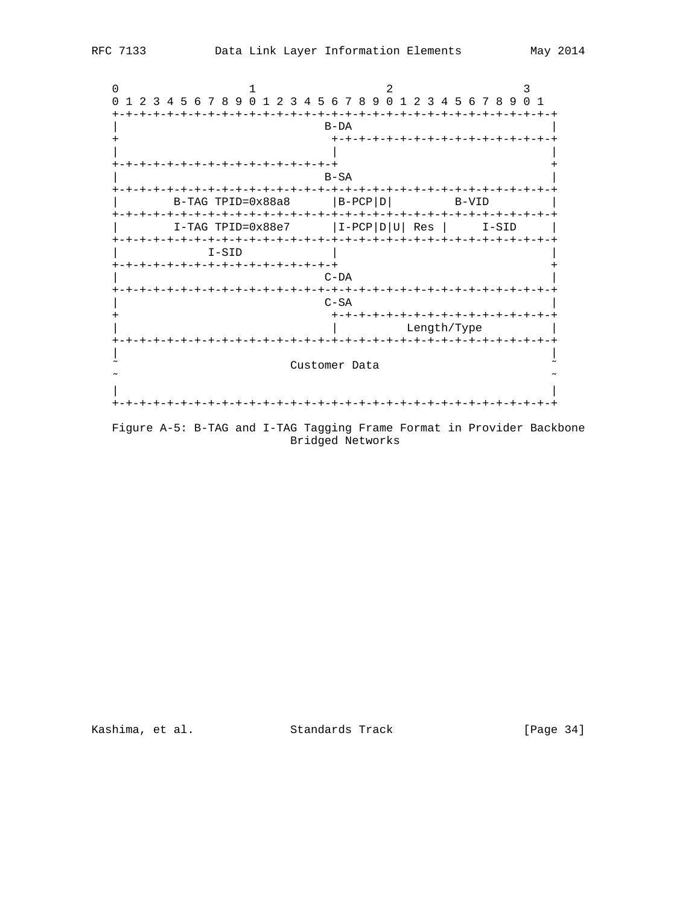

Figure A-5: B-TAG and I-TAG Tagging Frame Format in Provider Backbone Bridged Networks

Kashima, et al. Standards Track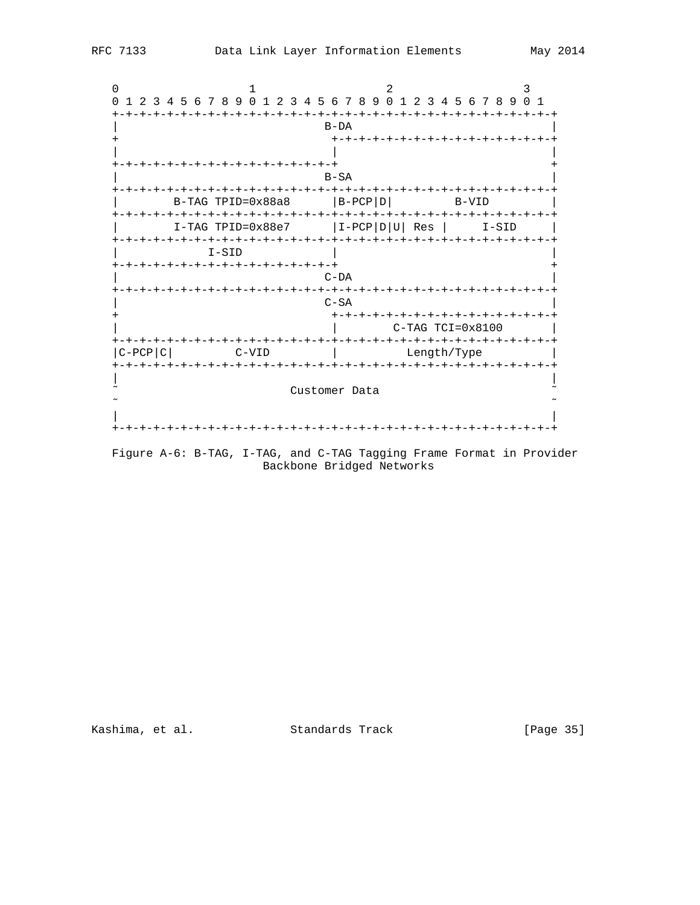|                                       | 1 2 3 4 5 6 7 8 9 0 1 2 3 4 5 6 7 8 9 0 1 2 3 4 5 6 7 8 9 0 1 |
|---------------------------------------|---------------------------------------------------------------|
|                                       |                                                               |
|                                       | $B-DA$                                                        |
|                                       | +-+-+-+-+-+-+-+-+-+-+-+-+-+-+-                                |
|                                       |                                                               |
| -+-+-+-+-+-+-+-+-+-+-+-+-+            |                                                               |
|                                       | $B-SA$                                                        |
| -+-+-+-+-+-+-+-+-+-+-+-+-+-+-+-+-     | -+-+-+-+-+-+-+                                                |
| B-TAG TPID=0x88a8                     | $ B-PCP D $<br>B-VID                                          |
| I-TAG TPID=0x88e7                     | $I-PCP D U $<br>Res<br>I-SID                                  |
| +-+-+-+-+-+-+-+-+-+-+-+-+-+-+-+-+-+-+ |                                                               |
| $I-SID$                               |                                                               |
| -+-+-+-+-+-+-+-+-+-+-+-+-+-+-+        |                                                               |
|                                       | $C-DA$                                                        |
| +-+-+-+-+-+-+-+-+-+-+-+-+-+-+-+-+-+-+ |                                                               |
|                                       | $C-SA$                                                        |
|                                       | +-+-+-+-+-+-+-+-+-+-+-+-+                                     |
|                                       | $C-TAG TCI=0x8100$                                            |
|                                       |                                                               |
| C-PCP C <br>$C-VID$                   | Length/Type                                                   |
| キーキーキーキ                               |                                                               |
|                                       |                                                               |
|                                       | Customer Data                                                 |
|                                       |                                                               |
|                                       |                                                               |
|                                       |                                                               |

Figure A-6: B-TAG, I-TAG, and C-TAG Tagging Frame Format in Provider Backbone Bridged Networks

Kashima, et al. Standards Track

[Page 35]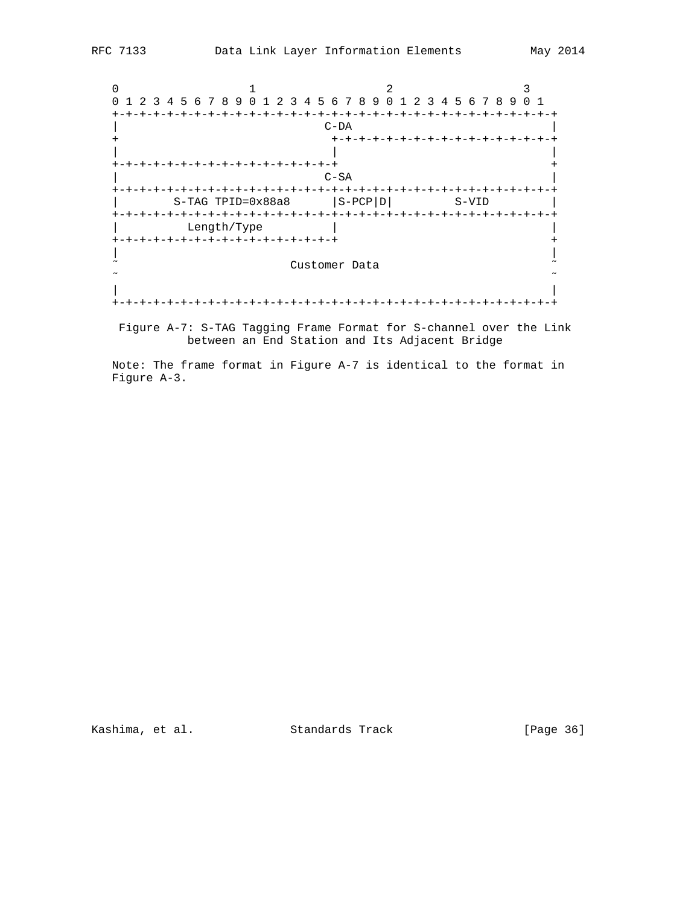

 Figure A-7: S-TAG Tagging Frame Format for S-channel over the Link between an End Station and Its Adjacent Bridge

 Note: The frame format in Figure A-7 is identical to the format in Figure A-3.

Kashima, et al. Standards Track [Page 36]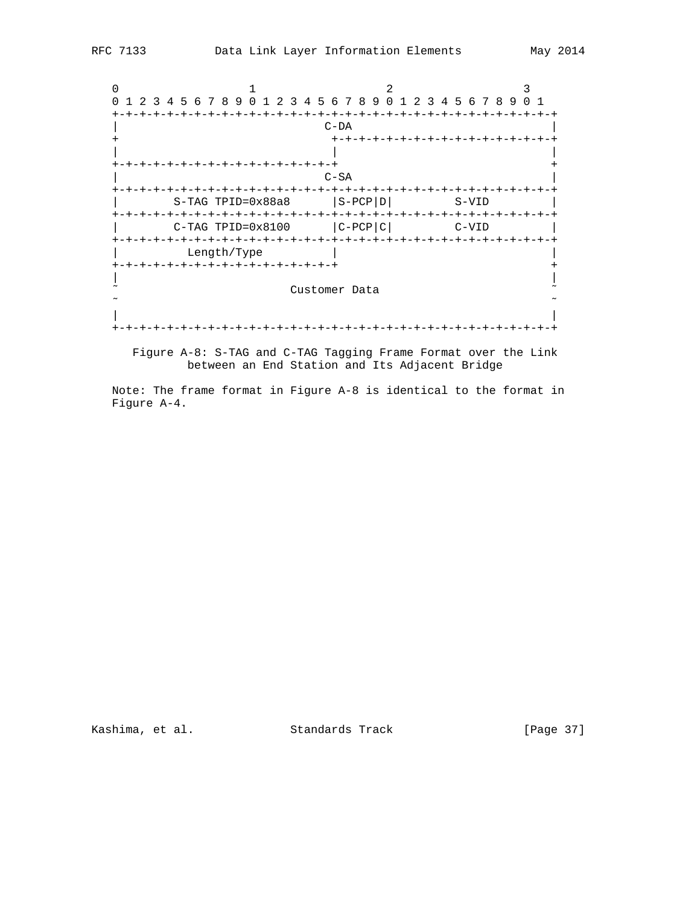0  $1$  2 3 0 1 2 3 4 5 6 7 8 9 0 1 2 3 4 5 6 7 8 9 0 1 2 3 4 5 6 7 8 9 0 1 +-+-+-+-+-+-+-+-+-+-+-+-+-+-+-+-+-+-+-+-+-+-+-+-+-+-+-+-+-+-+-+-+ | C-DA | + +-+-+-+-+-+-+-+-+-+-+-+-+-+-+-+-+ | | | +-+-+-+-+-+-+-+-+-+-+-+-+-+-+-+-+ + | C-SA | +-+-+-+-+-+-+-+-+-+-+-+-+-+-+-+-+-+-+-+-+-+-+-+-+-+-+-+-+-+-+-+-+  $S-TAG TPID=0x88a8$   $|S-PCP|D|$   $S-VID$  +-+-+-+-+-+-+-+-+-+-+-+-+-+-+-+-+-+-+-+-+-+-+-+-+-+-+-+-+-+-+-+-+  $C-TAG TPID=0x8100$   $|C-PCP|C|$   $C-VID$  +-+-+-+-+-+-+-+-+-+-+-+-+-+-+-+-+-+-+-+-+-+-+-+-+-+-+-+-+-+-+-+-+ Length/Type  $|$  +-+-+-+-+-+-+-+-+-+-+-+-+-+-+-+-+ + | | ˜ Customer Data ˜ ˜ ˜ | | +-+-+-+-+-+-+-+-+-+-+-+-+-+-+-+-+-+-+-+-+-+-+-+-+-+-+-+-+-+-+-+-+

 Figure A-8: S-TAG and C-TAG Tagging Frame Format over the Link between an End Station and Its Adjacent Bridge

 Note: The frame format in Figure A-8 is identical to the format in Figure A-4.

Kashima, et al. Standards Track [Page 37]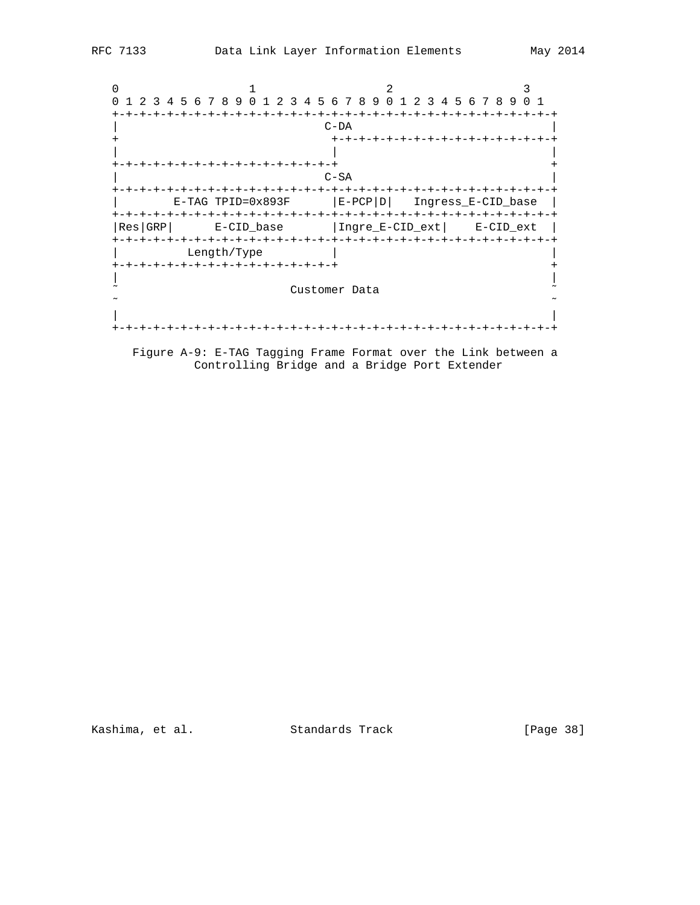0  $1$  2 3 0 1 2 3 4 5 6 7 8 9 0 1 2 3 4 5 6 7 8 9 0 1 2 3 4 5 6 7 8 9 0 1 +-+-+-+-+-+-+-+-+-+-+-+-+-+-+-+-+-+-+-+-+-+-+-+-+-+-+-+-+-+-+-+-+ | C-DA | + +-+-+-+-+-+-+-+-+-+-+-+-+-+-+-+-+ | | | +-+-+-+-+-+-+-+-+-+-+-+-+-+-+-+-+ + | C-SA | +-+-+-+-+-+-+-+-+-+-+-+-+-+-+-+-+-+-+-+-+-+-+-+-+-+-+-+-+-+-+-+-+ | E-TAG TPID=0x893F |E-PCP|D| Ingress\_E-CID\_base | +-+-+-+-+-+-+-+-+-+-+-+-+-+-+-+-+-+-+-+-+-+-+-+-+-+-+-+-+-+-+-+-+ |Res|GRP| E-CID\_base |Ingre\_E-CID\_ext| E-CID\_ext | +-+-+-+-+-+-+-+-+-+-+-+-+-+-+-+-+-+-+-+-+-+-+-+-+-+-+-+-+-+-+-+-+ Length/Type  $|$  +-+-+-+-+-+-+-+-+-+-+-+-+-+-+-+-+ + | | ˜ Customer Data ˜ ˜ ˜ | | +-+-+-+-+-+-+-+-+-+-+-+-+-+-+-+-+-+-+-+-+-+-+-+-+-+-+-+-+-+-+-+-+

 Figure A-9: E-TAG Tagging Frame Format over the Link between a Controlling Bridge and a Bridge Port Extender

Kashima, et al. Standards Track [Page 38]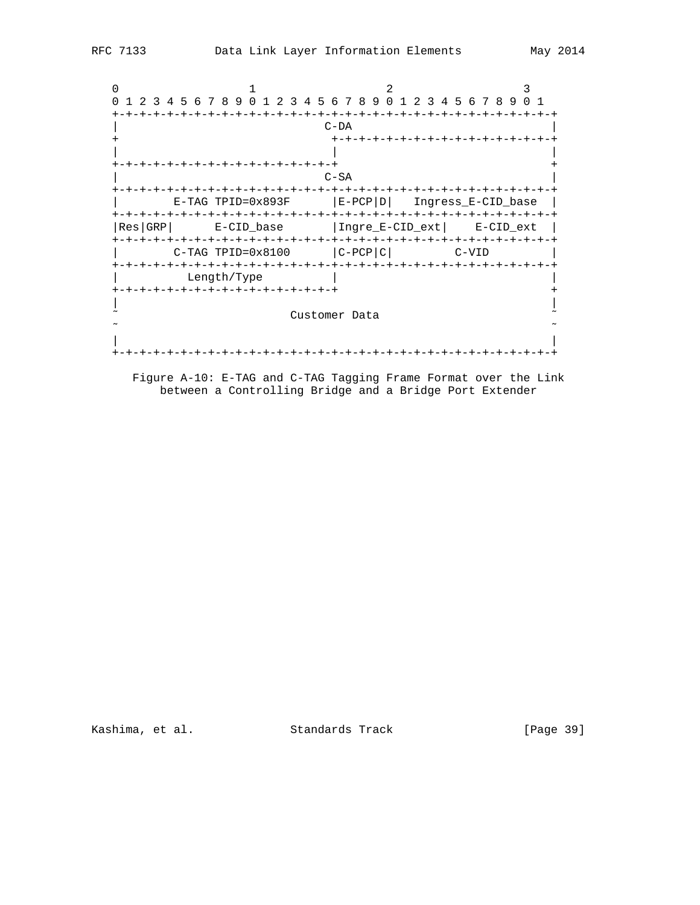```
0 1 2 3
 0 1 2 3 4 5 6 7 8 9 0 1 2 3 4 5 6 7 8 9 0 1 2 3 4 5 6 7 8 9 0 1
 +-+-+-+-+-+-+-+-+-+-+-+-+-+-+-+-+-+-+-+-+-+-+-+-+-+-+-+-+-+-+-+-+
| C-DA |
                     + +-+-+-+-+-+-+-+-+-+-+-+-+-+-+-+-+
| | |
 +-+-+-+-+-+-+-+-+-+-+-+-+-+-+-+-+ +
| C-SA |
 +-+-+-+-+-+-+-+-+-+-+-+-+-+-+-+-+-+-+-+-+-+-+-+-+-+-+-+-+-+-+-+-+
      | E-TAG TPID=0x893F |E-PCP|D| Ingress_E-CID_base |
 +-+-+-+-+-+-+-+-+-+-+-+-+-+-+-+-+-+-+-+-+-+-+-+-+-+-+-+-+-+-+-+-+
 |Res|GRP| E-CID_base |Ingre_E-CID_ext| E-CID_ext |
 +-+-+-+-+-+-+-+-+-+-+-+-+-+-+-+-+-+-+-+-+-+-+-+-+-+-+-+-+-+-+-+-+
     C-TAG TPID=0x8100 |C-PCP|C| C-VID
 +-+-+-+-+-+-+-+-+-+-+-+-+-+-+-+-+-+-+-+-+-+-+-+-+-+-+-+-+-+-+-+-+
      {\tt Length/Type} +-+-+-+-+-+-+-+-+-+-+-+-+-+-+-+-+ +
| |
\tilde{z} \sim Customer Data \tilde{z} ˜ ˜
| |
 +-+-+-+-+-+-+-+-+-+-+-+-+-+-+-+-+-+-+-+-+-+-+-+-+-+-+-+-+-+-+-+-+
```
 Figure A-10: E-TAG and C-TAG Tagging Frame Format over the Link between a Controlling Bridge and a Bridge Port Extender

Kashima, et al. Standards Track [Page 39]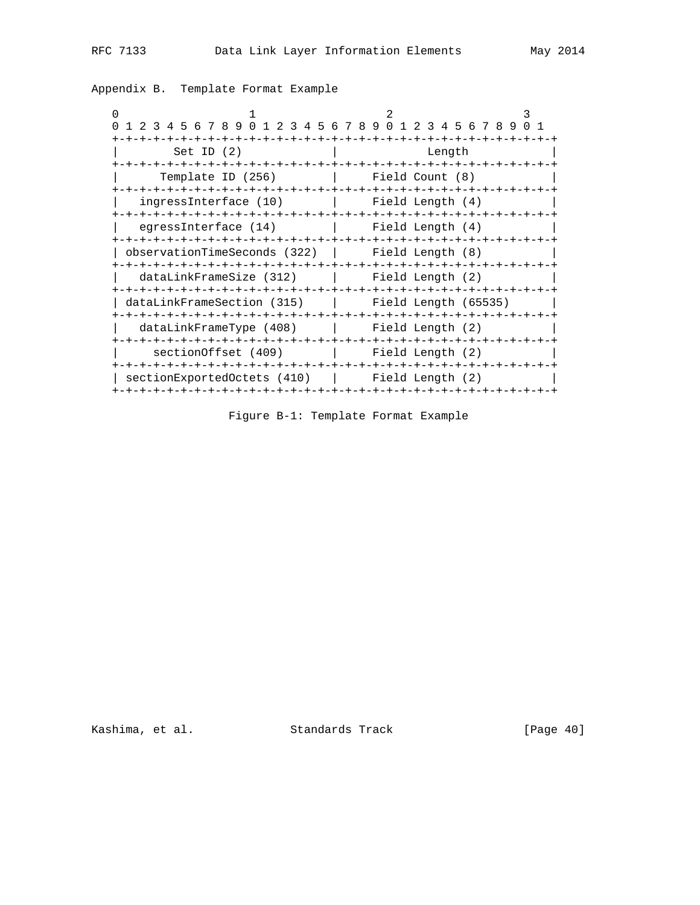| $\Omega$<br>1 2 3 4 5 6 7 8 9 0 1<br>$\overline{a}$ | $\mathcal{L}$<br>3 4 5 6 7 8 9 0 1 2 3 4 5 6 7 8 9 |
|-----------------------------------------------------|----------------------------------------------------|
| Set ID $(2)$                                        | Length                                             |
| Template ID (256)                                   | Field Count (8)                                    |
| ingressInterface (10)                               | -+-+-+-+-+-+-+-+-+-<br>Field Length (4)            |
| egressInterface (14)                                | Field Length (4)                                   |
| observationTimeSeconds (322)   Field Length (8)     |                                                    |
| dataLinkFrameSize (312)                             | Field Length (2)                                   |
| dataLinkFrameSection (315)                          | Field Length (65535)                               |
| dataLinkFrameType (408)                             | Field Length (2)                                   |
| section Offset (409)                                | 1 Field Length (2)                                 |
| sectionExportedOctets (410)                         | Field Length (2)                                   |

Appendix B. Template Format Example

Figure B-1: Template Format Example

Kashima, et al. Standards Track [Page 40]